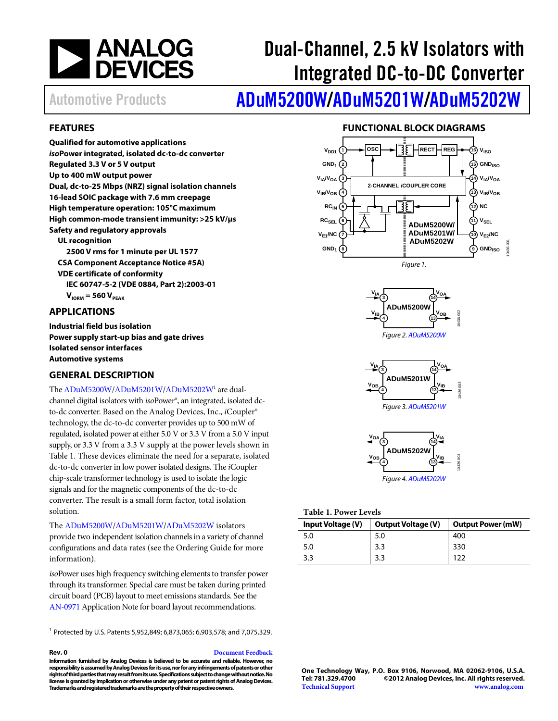

# Dual-Channel, 2.5 kV Isolators with Integrated DC-to-DC Converter

# Automotive Products **[ADuM5200W/](http://www.analog.com/ADuM5200)[ADuM5201W](http://www.analog.com/ADuM5201)/[ADuM5202W](http://www.analog.com/ADuM5202)**

### <span id="page-0-1"></span>**FEATURES**

**Qualified for automotive applications** *iso***Power integrated, isolated dc-to-dc converter Regulated 3.3 V or 5 V output Up to 400 mW output power Dual, dc-to-25 Mbps (NRZ) signal isolation channels 16-lead SOIC package with 7.6 mm creepage High temperature operation: 105°C maximum High common-mode transient immunity: >25 kV/µs Safety and regulatory approvals UL recognition**

**2500 V rms for 1 minute per UL 1577 CSA Component Acceptance Notice #5A) VDE certificate of conformity IEC 60747-5-2 (VDE 0884, Part 2):2003-01**

### $V_{IORM}$  = 560  $V_{PEAK}$

### <span id="page-0-2"></span>**APPLICATIONS**

**Industrial field bus isolation Power supply start-up bias and gate drives Isolated sensor interfaces Automotive systems**

### <span id="page-0-3"></span>**GENERAL DESCRIPTION**

Th[e ADuM5200W](http://www.analog.com/ADuM5200)[/ADuM5201W](http://www.analog.com/ADuM5201)[/ADuM5202W](http://www.analog.com/ADuM5202)<sup>1</sup> are dualchannel digital isolators with *iso*Power®, an integrated, isolated dcto-dc converter. Based on the Analog Devices, Inc., *i*Coupler® technology, the dc-to-dc converter provides up to 500 mW of regulated, isolated power at either 5.0 V or 3.3 V from a 5.0 V input supply, or 3.3 V from a 3.3 V supply at the power levels shown in [Table 1.](#page-0-0) These devices eliminate the need for a separate, isolated dc-to-dc converter in low power isolated designs. The *i*Coupler chip-scale transformer technology is used to isolate the logic signals and for the magnetic components of the dc-to-dc converter. The result is a small form factor, total isolation solution.

The [ADuM5200W/](http://www.analog.com/ADuM5200)[ADuM5201W](http://www.analog.com/ADuM5201)[/ADuM5202W](http://www.analog.com/ADuM5202) isolators provide two independent isolation channels in a variety of channel configurations and data rates (see th[e Ordering Guide](#page-24-0) for more information).

*iso*Power uses high frequency switching elements to transfer power through its transformer. Special care must be taken during printed circuit board (PCB) layout to meet emissions standards. See the [AN-0971](http://www.analog.com/AN-0971) Application Note for board layout recommendations.

<sup>1</sup> Protected by U.S. Patents 5,952,849; 6,873,065; 6,903,578; and 7,075,329.

### **Rev. 0 [Document Feedback](https://form.analog.com/Form_Pages/feedback/documentfeedback.aspx?doc=ADuM5200W_ADuM5201W_ADuM5202W.pdf&page=%201&product=ADuM5200W%20ADuM5201W%20ADuM5202&rev=0)**

**Information furnished by Analog Devices is believed to be accurate and reliable. However, no responsibility is assumed by Analog Devices for its use, nor for any infringements of patents or other rights of third parties that may result from its use. Specifications subject to change without notice. No license is granted by implication or otherwise under any patent or patent rights of Analog Devices. Trademarks and registered trademarks are the property of their respective owners.**

### **FUNCTIONAL BLOCK DIAGRAMS**

<span id="page-0-4"></span>





*Figure 3[. ADuM5201W](http://www.analog.com/ADuM5201)*



<span id="page-0-0"></span>**Table 1. Power Levels**

| Input Voltage (V) | <b>Output Voltage (V)</b> | <b>Output Power (mW)</b> |
|-------------------|---------------------------|--------------------------|
| 5.0               | 5.0                       | 400                      |
| 5.0               | 3.3                       | 330                      |
| 3.3               | 3.3                       | 122                      |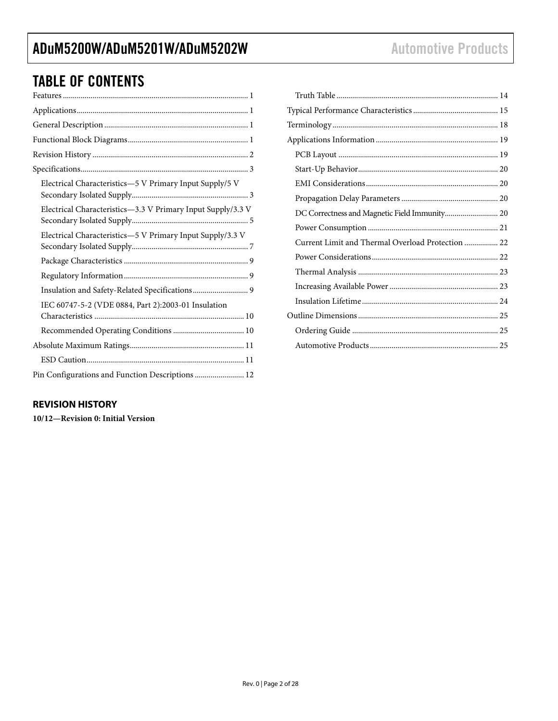## TABLE OF CONTENTS

| Electrical Characteristics-5 V Primary Input Supply/5 V     |
|-------------------------------------------------------------|
| Electrical Characteristics-3.3 V Primary Input Supply/3.3 V |
| Electrical Characteristics-5 V Primary Input Supply/3.3 V   |
|                                                             |
|                                                             |
| Insulation and Safety-Related Specifications 9              |
| IEC 60747-5-2 (VDE 0884, Part 2):2003-01 Insulation         |
|                                                             |
|                                                             |
|                                                             |
| Pin Configurations and Function Descriptions  12            |

| Current Limit and Thermal Overload Protection  22 |  |
|---------------------------------------------------|--|
|                                                   |  |
|                                                   |  |
|                                                   |  |
|                                                   |  |
|                                                   |  |
|                                                   |  |
|                                                   |  |

### <span id="page-1-0"></span>**REVISION HISTORY**

**10/12—Revision 0: Initial Version**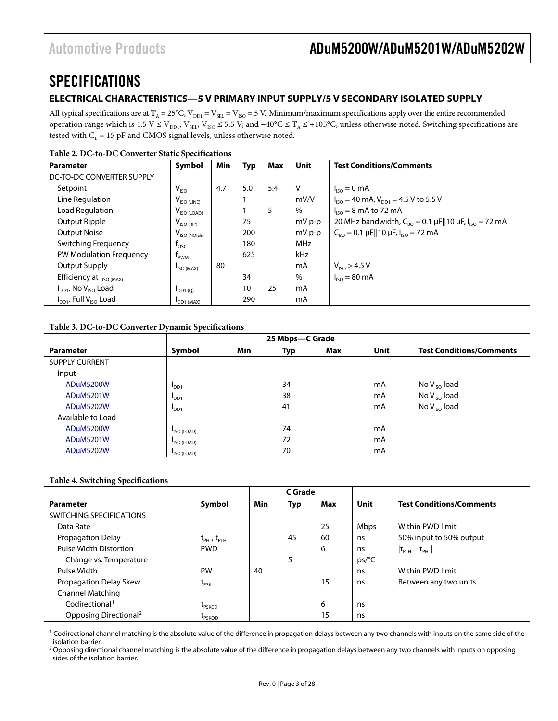## <span id="page-2-0"></span>**SPECIFICATIONS**

### <span id="page-2-1"></span>**ELECTRICAL CHARACTERISTICS—5 V PRIMARY INPUT SUPPLY/5 V SECONDARY ISOLATED SUPPLY**

All typical specifications are at  $T_A = 25^{\circ}C$ ,  $V_{DD1} = V_{SE} = V_{ISO} = 5$  V. Minimum/maximum specifications apply over the entire recommended operation range which is 4.5 V ≤ V<sub>DD1</sub>, V<sub>SEL</sub>, V<sub>ISO</sub> ≤ 5.5 V; and −40°C ≤ T<sub>A</sub> ≤ +105°C, unless otherwise noted. Switching specifications are tested with  $C_L = 15$  pF and CMOS signal levels, unless otherwise noted.

| I avie 2. DC-to-DC Converter static specifications<br><b>Parameter</b> | Symbol                   | Min |     | Max | <b>Unit</b> | <b>Test Conditions/Comments</b>                                                                 |
|------------------------------------------------------------------------|--------------------------|-----|-----|-----|-------------|-------------------------------------------------------------------------------------------------|
|                                                                        |                          |     | Typ |     |             |                                                                                                 |
| DC-TO-DC CONVERTER SUPPLY                                              |                          |     |     |     |             |                                                                                                 |
| Setpoint                                                               | $V_{ISO}$                | 4.7 | 5.0 | 5.4 | V           | $I_{ISO} = 0$ mA                                                                                |
| Line Regulation                                                        | $V_{\text{ISO (LINE)}}$  |     |     |     | mV/V        | $I_{\text{ISO}}$ = 40 mA, $V_{\text{DO1}}$ = 4.5 V to 5.5 V                                     |
| Load Regulation                                                        | $V_{\text{ISO (LOAD)}}$  |     |     | 5   | $\%$        | $I_{ISO}$ = 8 mA to 72 mA                                                                       |
| Output Ripple                                                          | $V_{ISO(RIP)}$           |     | 75  |     | $mV p-p$    | 20 MHz bandwidth, $C_{BO} = 0.1 \,\mu\text{F}    10 \,\mu\text{F}$ , $I_{ISO} = 72 \,\text{mA}$ |
| <b>Output Noise</b>                                                    | $V_{\text{ISO (NOISE)}}$ |     | 200 |     | $mVp-p$     | $C_{\text{RO}} = 0.1 \mu$ F  10 $\mu$ F, I <sub>ISO</sub> = 72 mA                               |
| Switching Frequency                                                    | $t_{\rm osc}$            |     | 180 |     | <b>MHz</b>  |                                                                                                 |
| PW Modulation Frequency                                                | <b>T</b> <sub>PWM</sub>  |     | 625 |     | kHz         |                                                                                                 |
| Output Supply                                                          | ISO (MAX)                | 80  |     |     | mA          | $V_{ISO} > 4.5 V$                                                                               |
| Efficiency at $I_{ISO (MAX)}$                                          |                          |     | 34  |     | $\%$        | $I_{ISO} = 80 \text{ mA}$                                                                       |
| $I_{DD1}$ , No $V_{ISO}$ Load                                          | $I_{DD1(Q)}$             |     | 10  | 25  | mA          |                                                                                                 |
| $I_{DD1}$ , Full $V_{ISO}$ Load                                        | DD1 (MAX)                |     | 290 |     | mA          |                                                                                                 |

### **Table 2. DC-to-DC Converter Static Specifications**

### **Table 3. DC-to-DC Converter Dynamic Specifications**

|                       |                  |     | 25 Mbps-C Grade |     |             |                                 |
|-----------------------|------------------|-----|-----------------|-----|-------------|---------------------------------|
| <b>Parameter</b>      | Symbol           | Min | Typ             | Max | <b>Unit</b> | <b>Test Conditions/Comments</b> |
| <b>SUPPLY CURRENT</b> |                  |     |                 |     |             |                                 |
| Input                 |                  |     |                 |     |             |                                 |
| ADuM5200W             | I <sub>DD1</sub> |     | 34              |     | mA          | No $V_{ISO}$ load               |
| <b>ADuM5201W</b>      | <b>PDD1</b>      |     | 38              |     | mA          | No $V_{ISO}$ load               |
| <b>ADuM5202W</b>      | I <sub>DD1</sub> |     | 41              |     | mA          | No $V_{ISO}$ load               |
| Available to Load     |                  |     |                 |     |             |                                 |
| ADuM5200W             | ISO (LOAD)       |     | 74              |     | mA          |                                 |
| <b>ADuM5201W</b>      | ISO (LOAD)       |     | 72              |     | mA          |                                 |
| <b>ADuM5202W</b>      | ISO (LOAD)       |     | 70              |     | mA          |                                 |

### **Table 4. Switching Specifications**

|                                   |                                     |     | C Grade |     |                |                                     |
|-----------------------------------|-------------------------------------|-----|---------|-----|----------------|-------------------------------------|
| <b>Parameter</b>                  | Symbol                              | Min | Typ     | Max | Unit           | <b>Test Conditions/Comments</b>     |
| SWITCHING SPECIFICATIONS          |                                     |     |         |     |                |                                     |
| Data Rate                         |                                     |     |         | 25  | <b>Mbps</b>    | Within PWD limit                    |
| Propagation Delay                 | $t_{\text{PHL}}$ , $t_{\text{PLH}}$ |     | 45      | 60  | ns             | 50% input to 50% output             |
| Pulse Width Distortion            | <b>PWD</b>                          |     |         | 6   | ns             | $ t_{\text{PLH}} - t_{\text{PHL}} $ |
| Change vs. Temperature            |                                     |     | 5       |     | $ps/^{\circ}C$ |                                     |
| Pulse Width                       | <b>PW</b>                           | 40  |         |     | ns             | Within PWD limit                    |
| Propagation Delay Skew            | $t_{PSK}$                           |     |         | 15  | ns             | Between any two units               |
| <b>Channel Matching</b>           |                                     |     |         |     |                |                                     |
| Codirectional <sup>1</sup>        | L <sub>PSKCD</sub>                  |     |         | 6   | ns             |                                     |
| Opposing Directional <sup>2</sup> | <b>LPSKOD</b>                       |     |         | 15  | ns             |                                     |

<span id="page-2-2"></span> $^1$  Codirectional channel matching is the absolute value of the difference in propagation delays between any two channels with inputs on the same side of the isolation barrier.

<span id="page-2-3"></span><sup>2</sup> Opposing directional channel matching is the absolute value of the difference in propagation delays between any two channels with inputs on opposing sides of the isolation barrier.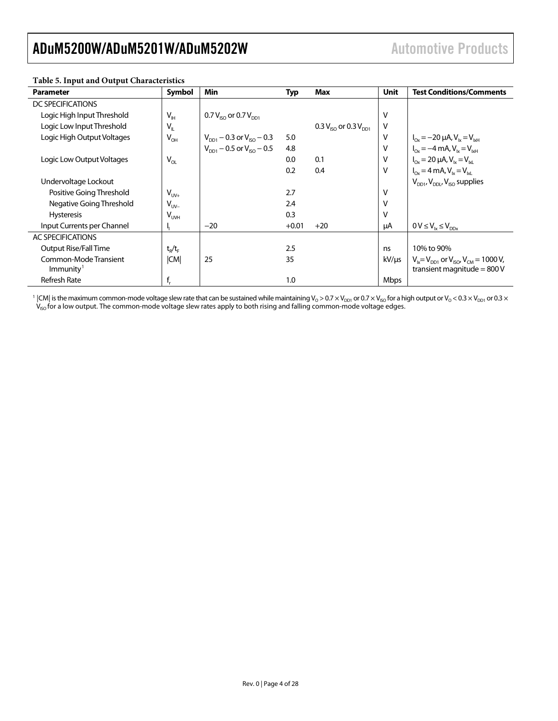| ruone of mput unu c'atput chuructenones        |                            |                                    |         |                                |             |                                                                                    |
|------------------------------------------------|----------------------------|------------------------------------|---------|--------------------------------|-------------|------------------------------------------------------------------------------------|
| <b>Parameter</b>                               | Symbol                     | Min                                | Typ     | Max                            | Unit        | <b>Test Conditions/Comments</b>                                                    |
| DC SPECIFICATIONS                              |                            |                                    |         |                                |             |                                                                                    |
| Logic High Input Threshold                     | $V_{\rm IH}$               | 0.7 $V_{ISO}$ or 0.7 $V_{DD1}$     |         |                                | v           |                                                                                    |
| Logic Low Input Threshold                      | $\mathsf{V}_{\mathsf{IL}}$ |                                    |         | 0.3 $V_{ISO}$ or 0.3 $V_{DD1}$ | V           |                                                                                    |
| Logic High Output Voltages                     | $V_{OH}$                   | $V_{DD1}$ – 0.3 or $V_{ISO}$ – 0.3 | 5.0     |                                | v           | $I_{ox} = -20 \mu A$ , $V_{ix} = V_{ixH}$                                          |
|                                                |                            | $V_{DD1}$ – 0.5 or $V_{ISO}$ – 0.5 | 4.8     |                                | V           | $I_{ox} = -4 \text{ mA}$ , $V_{ix} = V_{ixH}$                                      |
| Logic Low Output Voltages                      | $V_{OL}$                   |                                    | 0.0     | 0.1                            | v           | $I_{\text{Ox}} = 20 \mu A$ , $V_{\text{Ix}} = V_{\text{Ix1}}$                      |
|                                                |                            |                                    | 0.2     | 0.4                            | v           | $I_{0x} = 4 \text{ mA}, V_{1x} = V_{1x1}$                                          |
| Undervoltage Lockout                           |                            |                                    |         |                                |             | $V_{DD1}$ , $V_{DD1}$ , $V_{ISO}$ supplies                                         |
| Positive Going Threshold                       | $V_{UV+}$                  |                                    | 2.7     |                                | V           |                                                                                    |
| Negative Going Threshold                       | $V_{UV}$                   |                                    | 2.4     |                                | v           |                                                                                    |
| <b>Hysteresis</b>                              | $V_{UWH}$                  |                                    | 0.3     |                                | v           |                                                                                    |
| Input Currents per Channel                     |                            | $-20$                              | $+0.01$ | $+20$                          | μA          | $0 V \leq V_{1x} \leq V_{DDx}$                                                     |
| AC SPECIFICATIONS                              |                            |                                    |         |                                |             |                                                                                    |
| <b>Output Rise/Fall Time</b>                   | $t_R/t_F$                  |                                    | 2.5     |                                | ns          | 10% to 90%                                                                         |
| Common-Mode Transient<br>Immunity <sup>1</sup> | <b>CM</b>                  | 25                                 | 35      |                                | kV/µs       | $V_{1} = V_{D1}$ or $V_{ISO}$ , $V_{CM} = 1000$ V,<br>transient magnitude = $800V$ |
| Refresh Rate                                   |                            |                                    | 1.0     |                                | <b>Mbps</b> |                                                                                    |

### <span id="page-3-0"></span>**Table 5. Input and Output Characteristics**

 $^1$  |CM| is the maximum common-mode voltage slew rate that can be sustained while maintaining V<sub>o</sub> > 0.7 × V<sub>DD1</sub> or 0.7 × V<sub>ISO</sub> for a high output or V<sub>o</sub> < 0.3 × V<sub>DD1</sub> or 0.3 ×  $\rm{V_{\rm{SO}}}$  for a low output. The common-mode voltage slew rates apply to both rising and falling common-mode voltage edges.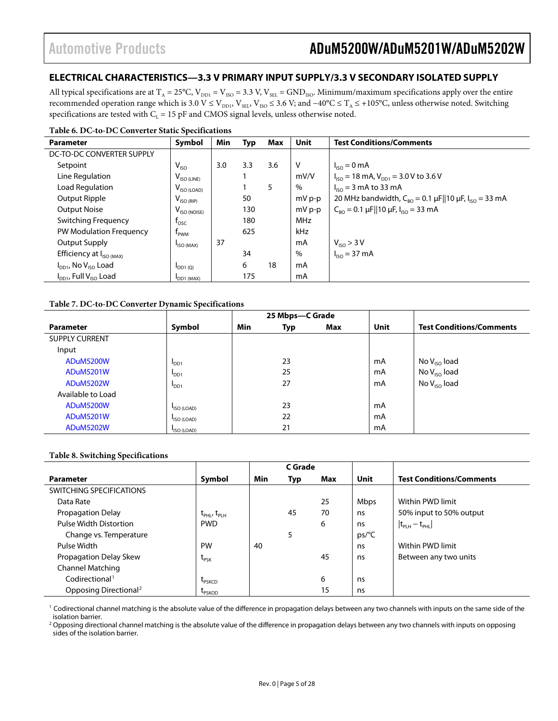### <span id="page-4-0"></span>**ELECTRICAL CHARACTERISTICS—3.3 V PRIMARY INPUT SUPPLY/3.3 V SECONDARY ISOLATED SUPPLY**

All typical specifications are at  $T_A = 25^{\circ}C$ ,  $V_{DD1} = V_{ISO} = 3.3 V$ ,  $V_{SEL} = GND_{ISO}$ . Minimum/maximum specifications apply over the entire recommended operation range which is 3.0 V ≤ V<sub>DD1</sub>, V<sub>SEL</sub>, V<sub>ISO</sub> ≤ 3.6 V; and −40°C ≤ T<sub>A</sub> ≤ +105°C, unless otherwise noted. Switching specifications are tested with  $C_L = 15$  pF and CMOS signal levels, unless otherwise noted.

**Table 6. DC-to-DC Converter Static Specifications** 

| <b>Parameter</b>                              | Symbol                   | <b>Min</b> | Typ | Max | <b>Unit</b> | <b>Test Conditions/Comments</b>                                              |
|-----------------------------------------------|--------------------------|------------|-----|-----|-------------|------------------------------------------------------------------------------|
| DC-TO-DC CONVERTER SUPPLY                     |                          |            |     |     |             |                                                                              |
| Setpoint                                      | $V_{ISO}$                | 3.0        | 3.3 | 3.6 | v           | $I_{\text{ISO}} = 0 \text{ mA}$                                              |
| Line Regulation                               | $V_{\text{ISO (LINE)}}$  |            |     |     | mV/V        | $I_{\text{ISO}}$ = 18 mA, $V_{\text{DD1}}$ = 3.0 V to 3.6 V                  |
| Load Regulation                               | $V_{\text{ISO (LOAD)}}$  |            |     | 5   | $\%$        | $I_{\text{ISO}}$ = 3 mA to 33 mA                                             |
| Output Ripple                                 | $V_{\text{ISO (RIP)}}$   |            | 50  |     | $mV p-p$    | 20 MHz bandwidth, $C_{RO} = 0.1 \mu$ F  10 $\mu$ F, I <sub>ISO</sub> = 33 mA |
| <b>Output Noise</b>                           | $V_{\text{ISO (NOISE)}}$ |            | 130 |     | $mV p-p$    | $C_{RO} = 0.1 \mu$ F  10 $\mu$ F, I <sub>ISO</sub> = 33 mA                   |
| Switching Frequency                           | $I_{\text{OSC}}$         |            | 180 |     | <b>MHz</b>  |                                                                              |
| PW Modulation Frequency                       | <b>PWM</b>               |            | 625 |     | <b>kHz</b>  |                                                                              |
| <b>Output Supply</b>                          | ISO (MAX)                | 37         |     |     | mA          | $V_{ISO} > 3 V$                                                              |
| Efficiency at $I_{ISO\,(MAX)}$                |                          |            | 34  |     | $\%$        | $I_{ISO} = 37 \text{ mA}$                                                    |
| $I_{DD1}$ , No $V_{ISO}$ Load                 | $\mathsf{IDD1}$ (Q)      |            | 6   | 18  | mA          |                                                                              |
| I <sub>DD1</sub> , Full V <sub>ISO</sub> Load | DD1 (MAX)                |            | 175 |     | mA          |                                                                              |

### **Table 7. DC-to-DC Converter Dynamic Specifications**

|                       |             |     | 25 Mbps-C Grade |     |             |                                 |
|-----------------------|-------------|-----|-----------------|-----|-------------|---------------------------------|
| <b>Parameter</b>      | Symbol      | Min | Typ             | Max | <b>Unit</b> | <b>Test Conditions/Comments</b> |
| <b>SUPPLY CURRENT</b> |             |     |                 |     |             |                                 |
| Input                 |             |     |                 |     |             |                                 |
| ADuM5200W             | <b>PDD1</b> |     | 23              |     | mA          | No $V_{ISO}$ load               |
| <b>ADuM5201W</b>      | <b>PDD1</b> |     | 25              |     | mA          | No $V_{ISO}$ load               |
| <b>ADuM5202W</b>      | <b>PDD1</b> |     | 27              |     | mA          | No $V_{ISO}$ load               |
| Available to Load     |             |     |                 |     |             |                                 |
| ADuM5200W             | ISO (LOAD)  |     | 23              |     | mA          |                                 |
| <b>ADuM5201W</b>      | ISO (LOAD)  |     | 22              |     | mA          |                                 |
| <b>ADuM5202W</b>      | ISO (LOAD)  |     | 21              |     | mA          |                                 |

### **Table 8. Switching Specifications**

|                                   |                                     |     | C Grade |     |             |                                 |
|-----------------------------------|-------------------------------------|-----|---------|-----|-------------|---------------------------------|
| <b>Parameter</b>                  | Symbol                              | Min | Typ     | Max | <b>Unit</b> | <b>Test Conditions/Comments</b> |
| SWITCHING SPECIFICATIONS          |                                     |     |         |     |             |                                 |
| Data Rate                         |                                     |     |         | 25  | <b>Mbps</b> | Within PWD limit                |
| Propagation Delay                 | $t_{\text{PHL}}$ , $t_{\text{PLH}}$ |     | 45      | 70  | ns          | 50% input to 50% output         |
| Pulse Width Distortion            | <b>PWD</b>                          |     |         | 6   | ns          | $ t_{PLH} - t_{PHL} $           |
| Change vs. Temperature            |                                     |     | 5       |     | ps/C        |                                 |
| Pulse Width                       | PW                                  | 40  |         |     | ns          | Within PWD limit                |
| Propagation Delay Skew            | $t_{PSK}$                           |     |         | 45  | ns          | Between any two units           |
| <b>Channel Matching</b>           |                                     |     |         |     |             |                                 |
| Codirectional <sup>1</sup>        | <b>L</b> <sub>PSKCD</sub>           |     |         | 6   | ns          |                                 |
| Opposing Directional <sup>2</sup> | <b>LPSKOD</b>                       |     |         | 15  | ns          |                                 |

<span id="page-4-1"></span> $^1$  Codirectional channel matching is the absolute value of the difference in propagation delays between any two channels with inputs on the same side of the isolation barrier.

<span id="page-4-2"></span><sup>2</sup> Opposing directional channel matching is the absolute value of the difference in propagation delays between any two channels with inputs on opposing sides of the isolation barrier.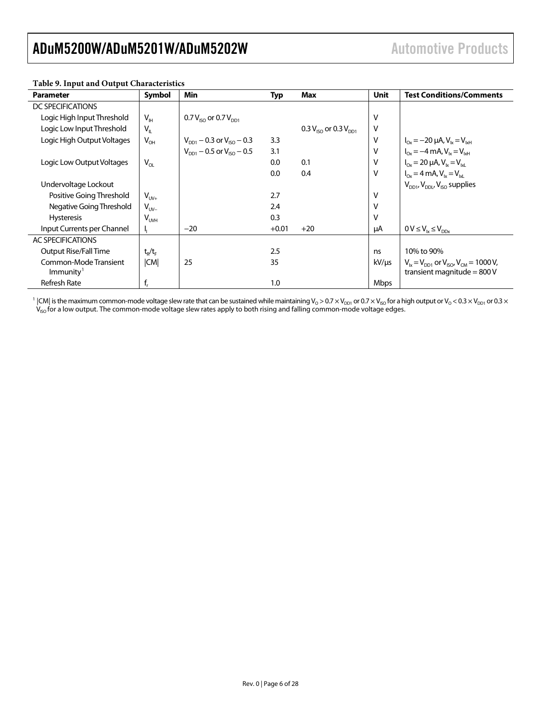| raone 21 mpat ana watpat characteristics       |                 |                                              |            |                                |             |                                                                                     |  |  |  |
|------------------------------------------------|-----------------|----------------------------------------------|------------|--------------------------------|-------------|-------------------------------------------------------------------------------------|--|--|--|
| <b>Parameter</b>                               | Symbol          | <b>Min</b>                                   | <b>Typ</b> | <b>Max</b>                     | <b>Unit</b> | <b>Test Conditions/Comments</b>                                                     |  |  |  |
| DC SPECIFICATIONS                              |                 |                                              |            |                                |             |                                                                                     |  |  |  |
| Logic High Input Threshold                     | $V_{\text{IH}}$ | 0.7 $V_{\text{ISO}}$ or 0.7 $V_{\text{DD1}}$ |            |                                | v           |                                                                                     |  |  |  |
| Logic Low Input Threshold                      | $V_{IL}$        |                                              |            | 0.3 $V_{ISO}$ or 0.3 $V_{DD1}$ | $\vee$      |                                                                                     |  |  |  |
| Logic High Output Voltages                     | $V_{OH}$        | $V_{DD1}$ – 0.3 or $V_{ISO}$ – 0.3           | 3.3        |                                | V           | $I_{ox} = -20 \mu A$ , $V_{ix} = V_{ixH}$                                           |  |  |  |
|                                                |                 | $V_{DD1} - 0.5$ or $V_{ISO} - 0.5$           | 3.1        |                                | $\vee$      | $I_{ox} = -4 \text{ mA}$ , $V_{ix} = V_{ixH}$                                       |  |  |  |
| Logic Low Output Voltages                      | $V_{OL}$        |                                              | 0.0        | 0.1                            | v           | $I_{Ox} = 20 \mu A$ , $V_{1x} = V_{1x1}$                                            |  |  |  |
|                                                |                 |                                              | 0.0        | 0.4                            | $\vee$      | $I_{ox} = 4 \text{ mA}, V_{ix} = V_{ix}$                                            |  |  |  |
| Undervoltage Lockout                           |                 |                                              |            |                                |             | $V_{DD1}$ , $V_{DD1}$ , $V_{ISO}$ supplies                                          |  |  |  |
| Positive Going Threshold                       | $V_{UV+}$       |                                              | 2.7        |                                | $\vee$      |                                                                                     |  |  |  |
| Negative Going Threshold                       | $V_{UV}$        |                                              | 2.4        |                                | $\vee$      |                                                                                     |  |  |  |
| <b>Hysteresis</b>                              | $V_{UVH}$       |                                              | 0.3        |                                | $\vee$      |                                                                                     |  |  |  |
| Input Currents per Channel                     |                 | $-20$                                        | $+0.01$    | $+20$                          | μA          | $0 V \leq V_{1x} \leq V_{DDx}$                                                      |  |  |  |
| AC SPECIFICATIONS                              |                 |                                              |            |                                |             |                                                                                     |  |  |  |
| Output Rise/Fall Time                          | $t_R/t_F$       |                                              | 2.5        |                                | ns          | 10% to 90%                                                                          |  |  |  |
| Common-Mode Transient<br>Immunity <sup>1</sup> | <b>CM</b>       | 25                                           | 35         |                                | $kV/\mu s$  | $V_{1x} = V_{D1}$ or $V_{150}$ , $V_{CM} = 1000$ V,<br>transient magnitude = $800V$ |  |  |  |
| Refresh Rate                                   | $f_r$           |                                              | 1.0        |                                | <b>Mbps</b> |                                                                                     |  |  |  |

### <span id="page-5-0"></span>**Table 9. Input and Output Characteristics**

 $^1$  |CM| is the maximum common-mode voltage slew rate that can be sustained while maintaining V<sub>o</sub> > 0.7 × V<sub>DD1</sub> or 0.7 × V<sub>ISO</sub> for a high output or V<sub>o</sub> < 0.3 × V<sub>DD1</sub> or 0.3 ×  $\rm{V_{\rm{SO}}}$  for a low output. The common-mode voltage slew rates apply to both rising and falling common-mode voltage edges.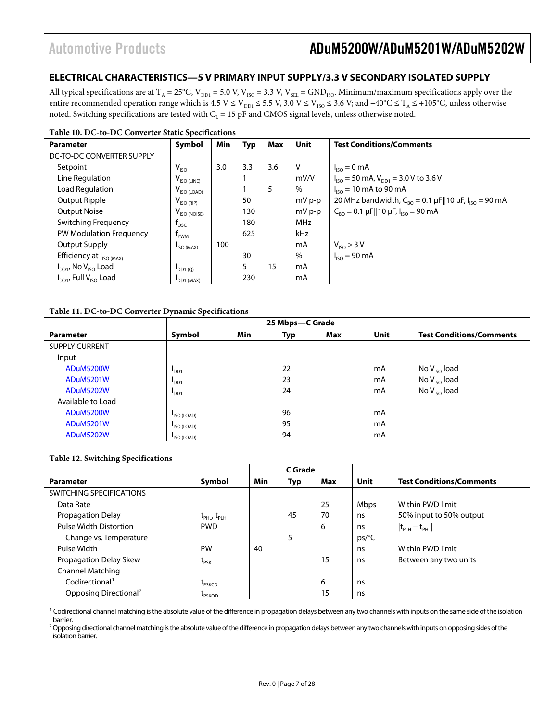## <span id="page-6-1"></span>Automotive Products ADuM5200W/ADuM5201W/ADuM5202W

### <span id="page-6-0"></span>**ELECTRICAL CHARACTERISTICS—5 V PRIMARY INPUT SUPPLY/3.3 V SECONDARY ISOLATED SUPPLY**

All typical specifications are at  $T_A = 25^{\circ}C$ ,  $V_{DD1} = 5.0$  V,  $V_{ISO} = 3.3$  V,  $V_{SEL} =$  GND<sub>ISO</sub>. Minimum/maximum specifications apply over the entire recommended operation range which is 4.5 V ≤ V<sub>DD1</sub> ≤ 5.5 V, 3.0 V ≤ V<sub>ISO</sub> ≤ 3.6 V; and −40°C ≤ T<sub>A</sub> ≤ +105°C, unless otherwise noted. Switching specifications are tested with  $C_L = 15$  pF and CMOS signal levels, unless otherwise noted.

| <b>Parameter</b>                              | л.<br>Symbol            | Min | Typ | Max | <b>Unit</b> | <b>Test Conditions/Comments</b>                                                                 |
|-----------------------------------------------|-------------------------|-----|-----|-----|-------------|-------------------------------------------------------------------------------------------------|
| DC-TO-DC CONVERTER SUPPLY                     |                         |     |     |     |             |                                                                                                 |
| Setpoint                                      | $V_{ISO}$               | 3.0 | 3.3 | 3.6 | V           | $I_{ISO} = 0$ mA                                                                                |
| Line Regulation                               | $V_{ISO (LINE)}$        |     |     |     | mV/V        | $I_{ISO}$ = 50 mA, $V_{DD1}$ = 3.0 V to 3.6 V                                                   |
| Load Regulation                               | $V_{\text{ISO (LOAD)}}$ |     |     | 5   | %           | $I_{ISO} = 10 \text{ mA}$ to 90 mA                                                              |
| Output Ripple                                 | $V_{ISO(RIP)}$          |     | 50  |     | $mV p-p$    | 20 MHz bandwidth, $C_{BO} = 0.1 \,\mu\text{F}    10 \,\mu\text{F}$ , $I_{ISO} = 90 \,\text{mA}$ |
| <b>Output Noise</b>                           | $V_{ISO(NOISE)}$        |     | 130 |     | $mV p-p$    | $C_{RO} = 0.1 \mu$ F  10 $\mu$ F, I <sub>ISO</sub> = 90 mA                                      |
| <b>Switching Frequency</b>                    | $t_{\rm osc}$           |     | 180 |     | <b>MHz</b>  |                                                                                                 |
| PW Modulation Frequency                       | <b>PWM</b>              |     | 625 |     | <b>kHz</b>  |                                                                                                 |
| <b>Output Supply</b>                          | ISO (MAX)               | 100 |     |     | mA          | $V_{ISO}$ > 3 V                                                                                 |
| Efficiency at $I_{ISO(MAX)}$                  |                         |     | 30  |     | $\%$        | $I_{ISO} = 90 \text{ mA}$                                                                       |
| $I_{DD1}$ , No $V_{ISO}$ Load                 | $I_{DD1(Q)}$            |     | 5   | 15  | mA          |                                                                                                 |
| I <sub>DD1</sub> , Full V <sub>ISO</sub> Load | DD1 (MAX)               |     | 230 |     | mA          |                                                                                                 |

### **Table 10. DC-to-DC Converter Static Specifications**

### **Table 11. DC-to-DC Converter Dynamic Specifications**

|                       |             | 25 Mbps-C Grade |     |     |             |                                 |
|-----------------------|-------------|-----------------|-----|-----|-------------|---------------------------------|
| <b>Parameter</b>      | Symbol      | Min             | Typ | Max | <b>Unit</b> | <b>Test Conditions/Comments</b> |
| <b>SUPPLY CURRENT</b> |             |                 |     |     |             |                                 |
| Input                 |             |                 |     |     |             |                                 |
| ADuM5200W             | <b>PDD1</b> |                 | 22  |     | mA          | No $V_{ISO}$ load               |
| <b>ADuM5201W</b>      | <b>PDD1</b> |                 | 23  |     | mA          | No $V_{ISO}$ load               |
| <b>ADuM5202W</b>      | <b>PDD1</b> |                 | 24  |     | mA          | No $V_{ISO}$ load               |
| Available to Load     |             |                 |     |     |             |                                 |
| ADuM5200W             | ISO (LOAD)  |                 | 96  |     | mA          |                                 |
| <b>ADuM5201W</b>      | ISO (LOAD)  |                 | 95  |     | mA          |                                 |
| <b>ADuM5202W</b>      | ISO (LOAD)  |                 | 94  |     | mA          |                                 |

### **Table 12. Switching Specifications**

|                                   |                                     |     | C Grade |     |             |                                 |
|-----------------------------------|-------------------------------------|-----|---------|-----|-------------|---------------------------------|
| <b>Parameter</b>                  | Symbol                              | Min | Typ     | Max | Unit        | <b>Test Conditions/Comments</b> |
| SWITCHING SPECIFICATIONS          |                                     |     |         |     |             |                                 |
| Data Rate                         |                                     |     |         | 25  | <b>Mbps</b> | Within PWD limit                |
| Propagation Delay                 | $t_{\text{PHL}}$ , $t_{\text{PLH}}$ |     | 45      | 70  | ns          | 50% input to 50% output         |
| <b>Pulse Width Distortion</b>     | <b>PWD</b>                          |     |         | 6   | ns          | $ t_{PPH}-t_{PHL$               |
| Change vs. Temperature            |                                     |     | 5       |     | ps/C        |                                 |
| Pulse Width                       | <b>PW</b>                           | 40  |         |     | ns          | Within PWD limit                |
| Propagation Delay Skew            | $t_{PSK}$                           |     |         | 15  | ns          | Between any two units           |
| <b>Channel Matching</b>           |                                     |     |         |     |             |                                 |
| Codirectional <sup>1</sup>        | <b>L</b> <sub>PSKCD</sub>           |     |         | 6   | ns          |                                 |
| Opposing Directional <sup>2</sup> | <b>LPSKOD</b>                       |     |         | 15  | ns          |                                 |

 $^1$  Codirectional channel matching is the absolute value of the difference in propagation delays between any two channels with inputs on the same side of the isolation barrier.

<sup>2</sup> Opposing directional channel matching is the absolute value of the difference in propagation delays between any two channels with inputs on opposing sides of the isolation barrier.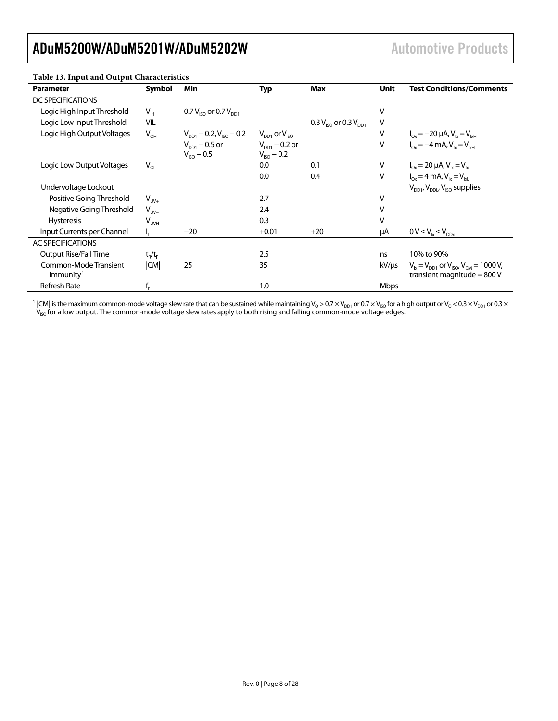| raoic 19. mpat and Output Characteristics      |                |                                              |                                       |                                |            |                                                                                       |
|------------------------------------------------|----------------|----------------------------------------------|---------------------------------------|--------------------------------|------------|---------------------------------------------------------------------------------------|
| <b>Parameter</b>                               | Symbol         | Min                                          | Typ                                   | <b>Max</b>                     | Unit       | <b>Test Conditions/Comments</b>                                                       |
| DC SPECIFICATIONS                              |                |                                              |                                       |                                |            |                                                                                       |
| Logic High Input Threshold                     | $V_{\text{H}}$ | 0.7 $V_{\text{ISO}}$ or 0.7 $V_{\text{DD1}}$ |                                       |                                | V          |                                                                                       |
| Logic Low Input Threshold                      | VIL            |                                              |                                       | 0.3 $V_{ISO}$ or 0.3 $V_{DD1}$ | $\vee$     |                                                                                       |
| Logic High Output Voltages                     | $V_{OH}$       | $V_{DD1}$ – 0.2, $V_{ISO}$ – 0.2             | $V_{DD1}$ or $V_{ISO}$                |                                | V          | $I_{Ox} = -20 \mu A$ , $V_{ix} = V_{ixH}$                                             |
|                                                |                | $V_{DD1}$ – 0.5 or<br>$V_{ISO} - 0.5$        | $V_{DD1} - 0.2$ or<br>$V_{ISO} - 0.2$ |                                | V          | $I_{0x} = -4$ mA, $V_{1x} = V_{1xH}$                                                  |
| Logic Low Output Voltages                      | $V_{OL}$       |                                              | 0.0                                   | 0.1                            | V          | $I_{0x} = 20 \mu A$ , $V_{1x} = V_{1x}$                                               |
|                                                |                |                                              | 0.0                                   | 0.4                            | V          | $I_{0x} = 4$ mA, $V_{1x} = V_{1x1}$                                                   |
| Undervoltage Lockout                           |                |                                              |                                       |                                |            | $V_{DD1}$ , $V_{DD1}$ , $V_{ISO}$ supplies                                            |
| Positive Going Threshold                       | $V_{UV+}$      |                                              | 2.7                                   |                                | V          |                                                                                       |
| Negative Going Threshold                       | $V_{UV}$       |                                              | 2.4                                   |                                | V          |                                                                                       |
| <b>Hysteresis</b>                              | $V_{UVH}$      |                                              | 0.3                                   |                                | V          |                                                                                       |
| Input Currents per Channel                     | ъ.             | $-20$                                        | $+0.01$                               | $+20$                          | μA         | $0 V \leq V_{1x} \leq V_{DDx}$                                                        |
| AC SPECIFICATIONS                              |                |                                              |                                       |                                |            |                                                                                       |
| Output Rise/Fall Time                          | $t_R/t_F$      |                                              | 2.5                                   |                                | ns         | 10% to 90%                                                                            |
| Common-Mode Transient<br>Immunity <sup>1</sup> | CM             | 25                                           | 35                                    |                                | $kV/\mu s$ | $V_{1x} = V_{DD1}$ or $V_{150}$ , $V_{CM} = 1000 V$ ,<br>transient magnitude = $800V$ |
| <b>Refresh Rate</b>                            | $f_r$          |                                              | 1.0                                   |                                | Mbps       |                                                                                       |

### <span id="page-7-0"></span>**Table 13. Input and Output Characteristics**

 $^1$  |CM| is the maximum common-mode voltage slew rate that can be sustained while maintaining V<sub>o</sub> > 0.7 × V<sub>DD1</sub> or 0.7 × V<sub>ISO</sub> for a high output or V<sub>o</sub> < 0.3 × V<sub>DD1</sub> or 0.3 ×  $\rm{V_{\rm{SO}}}$  for a low output. The common-mode voltage slew rates apply to both rising and falling common-mode voltage edges.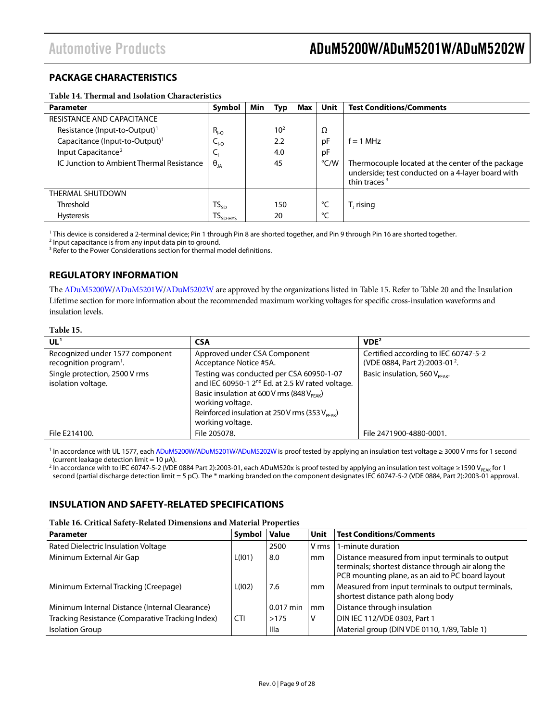### <span id="page-8-6"></span><span id="page-8-0"></span>**PACKAGE CHARACTERISTICS**

### <span id="page-8-7"></span><span id="page-8-3"></span>**Table 14. Thermal and Isolation Characteristics**

| <b>Parameter</b>                           | Symbol               | Min | Typ      | Max | <b>Unit</b> | <b>Test Conditions/Comments</b>                                                                                           |
|--------------------------------------------|----------------------|-----|----------|-----|-------------|---------------------------------------------------------------------------------------------------------------------------|
| RESISTANCE AND CAPACITANCE                 |                      |     |          |     |             |                                                                                                                           |
| Resistance (Input-to-Output) <sup>1</sup>  | $R_{I-O}$            |     | $10^{2}$ |     | Ω           |                                                                                                                           |
| Capacitance (Input-to-Output) <sup>1</sup> | $C_{1-0}$            |     | 2.2      |     | pF          | $f = 1$ MHz                                                                                                               |
| Input Capacitance <sup>2</sup>             | ╰                    |     | 4.0      |     | pF          |                                                                                                                           |
| IC Junction to Ambient Thermal Resistance  | $\theta_{JA}$        |     | 45       |     | °C/W        | Thermocouple located at the center of the package<br>underside; test conducted on a 4-layer board with<br>thin traces $3$ |
| THERMAL SHUTDOWN                           |                      |     |          |     |             |                                                                                                                           |
| Threshold                                  | $TS_{SD}$            |     | 150      |     | °C          | $T1$ rising                                                                                                               |
| <b>Hysteresis</b>                          | $TS_{SD\text{-HYS}}$ |     | 20       |     | °C          |                                                                                                                           |

<sup>1</sup> This device is considered a 2-terminal device; Pin 1 through Pin 8 are shorted together, and Pin 9 through Pin 16 are shorted together.

<sup>2</sup> Input capacitance is from any input data pin to ground.

<sup>3</sup> Refer to th[e Power Considerations](#page-21-1) section for thermal model definitions.

### <span id="page-8-1"></span>**REGULATORY INFORMATION**

Th[e ADuM5200W/](http://www.analog.com/ADuM5200)[ADuM5201W](http://www.analog.com/ADuM5201)[/ADuM5202W](http://www.analog.com/ADuM5202) are approved by the organizations listed i[n Table 15.](#page-8-4) Refer t[o Table 20](#page-10-2) and th[e Insulation](#page-23-0)  [Lifetime](#page-23-0) section for more information about the recommended maximum working voltages for specific cross-insulation waveforms and insulation levels.

### <span id="page-8-4"></span>**Table 15.**

<span id="page-8-5"></span>

| UL <sup>1</sup>                                                       | <b>CSA</b>                                                                                                                                                                                                                                                                | VDE <sup>2</sup>                                                                  |
|-----------------------------------------------------------------------|---------------------------------------------------------------------------------------------------------------------------------------------------------------------------------------------------------------------------------------------------------------------------|-----------------------------------------------------------------------------------|
| Recognized under 1577 component<br>recognition program <sup>1</sup> . | Approved under CSA Component<br>Acceptance Notice #5A.                                                                                                                                                                                                                    | Certified according to IEC 60747-5-2<br>(VDE 0884, Part 2):2003-01 <sup>2</sup> . |
| Single protection, 2500 V rms<br>isolation voltage.                   | Testing was conducted per CSA 60950-1-07<br>and IEC 60950-1 2 <sup>nd</sup> Ed. at 2.5 kV rated voltage.<br>Basic insulation at 600 V rms (848 V <sub>PFAK</sub> )<br>working voltage.<br>Reinforced insulation at 250 V rms (353 V <sub>PFAK</sub> )<br>working voltage. | Basic insulation, 560 $V_{\text{max}}$ .                                          |
| File E214100.                                                         | File 205078.                                                                                                                                                                                                                                                              | File 2471900-4880-0001.                                                           |

<sup>1</sup> In accordance with UL 1577, eac[h ADuM5200W/](http://www.analog.com/ADuM5200)[ADuM5201W/](http://www.analog.com/ADuM5201)[ADuM5202W](http://www.analog.com/ADuM5202) is proof tested by applying an insulation test voltage ≥ 3000 V rms for 1 second<br>(current leakage detection limit = 10 μA).

<sup>2</sup> In accordance with to IEC 60747-5-2 (VDE 0884 Part 2):2003-01, each ADuM520x is proof tested by applying an insulation test voltage ≥1590 V<sub>PEAK</sub> for 1 second (partial discharge detection limit = 5 pC). The \* marking branded on the component designates IEC 60747-5-2 (VDE 0884, Part 2):2003-01 approval.

### <span id="page-8-2"></span>**INSULATION AND SAFETY-RELATED SPECIFICATIONS**

### **Table 16. Critical Safety-Related Dimensions and Material Properties**

| <b>Parameter</b>                                 | Symbol     | <b>Value</b> | Unit  | Test Conditions/Comments                                                                                                                                   |
|--------------------------------------------------|------------|--------------|-------|------------------------------------------------------------------------------------------------------------------------------------------------------------|
| Rated Dielectric Insulation Voltage              |            | 2500         | V rms | 1-minute duration                                                                                                                                          |
| Minimum External Air Gap                         | L(101)     | 8.0          | mm    | Distance measured from input terminals to output<br>terminals; shortest distance through air along the<br>PCB mounting plane, as an aid to PC board layout |
| Minimum External Tracking (Creepage)             | L(102)     | 7.6          | mm    | Measured from input terminals to output terminals,<br>shortest distance path along body                                                                    |
| Minimum Internal Distance (Internal Clearance)   |            | $0.017$ min  | mm    | Distance through insulation                                                                                                                                |
| Tracking Resistance (Comparative Tracking Index) | <b>CTI</b> | >175         | ٧     | DIN IEC 112/VDE 0303, Part 1                                                                                                                               |
| <b>Isolation Group</b>                           |            | Illa         |       | Material group (DIN VDE 0110, 1/89, Table 1)                                                                                                               |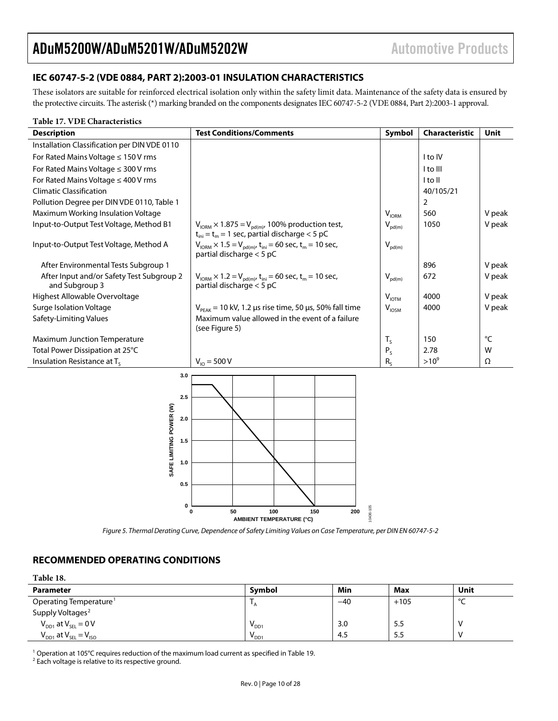### <span id="page-9-3"></span><span id="page-9-0"></span>**IEC 60747-5-2 (VDE 0884, PART 2):2003-01 INSULATION CHARACTERISTICS**

These isolators are suitable for reinforced electrical isolation only within the safety limit data. Maintenance of the safety data is ensured by the protective circuits. The asterisk (\*) marking branded on the components designates IEC 60747-5-2 (VDE 0884, Part 2):2003-1 approval.

### **Table 17. VDE Characteristics**

| <b>Description</b>                                          | <b>Test Conditions/Comments</b>                                                                                                                | Symbol            | Characteristic | Unit   |
|-------------------------------------------------------------|------------------------------------------------------------------------------------------------------------------------------------------------|-------------------|----------------|--------|
| Installation Classification per DIN VDE 0110                |                                                                                                                                                |                   |                |        |
| For Rated Mains Voltage $\leq 150$ V rms                    |                                                                                                                                                |                   | I to IV        |        |
| For Rated Mains Voltage $\leq$ 300 V rms                    |                                                                                                                                                |                   | I to III       |        |
| For Rated Mains Voltage $\leq 400$ V rms                    |                                                                                                                                                |                   | I to II        |        |
| <b>Climatic Classification</b>                              |                                                                                                                                                |                   | 40/105/21      |        |
| Pollution Degree per DIN VDE 0110, Table 1                  |                                                                                                                                                |                   | 2              |        |
| Maximum Working Insulation Voltage                          |                                                                                                                                                | $V_{\text{IORM}}$ | 560            | V peak |
| Input-to-Output Test Voltage, Method B1                     | $V_{\text{IORM}} \times 1.875 = V_{\text{pd}(m)}$ , 100% production test,<br>$t_{\text{ini}} = t_m = 1$ sec, partial discharge < 5 pC          | $V_{pd(m)}$       | 1050           | V peak |
| Input-to-Output Test Voltage, Method A                      | $V_{\text{IORM}} \times 1.5 = V_{\text{pd}(m)}$ , $t_{\text{ini}} = 60$ sec, $t_m = 10$ sec,<br>partial discharge $<$ 5 pC                     | $V_{pd(m)}$       |                |        |
| After Environmental Tests Subgroup 1                        |                                                                                                                                                |                   | 896            | V peak |
| After Input and/or Safety Test Subgroup 2<br>and Subgroup 3 | $V_{\text{IORM}} \times 1.2 = V_{\text{pd(m)}}, t_{\text{ini}} = 60 \text{ sec}, t_{\text{m}} = 10 \text{ sec},$<br>partial discharge $<$ 5 pC | $V_{pd(m)}$       | 672            | V peak |
| Highest Allowable Overvoltage                               |                                                                                                                                                | $V_{IOTM}$        | 4000           | V peak |
| Surge Isolation Voltage                                     | $V_{PFAK}$ = 10 kV, 1.2 µs rise time, 50 µs, 50% fall time                                                                                     | $V_{\text{IOSM}}$ | 4000           | V peak |
| Safety-Limiting Values                                      | Maximum value allowed in the event of a failure<br>(see Figure 5)                                                                              |                   |                |        |
| <b>Maximum Junction Temperature</b>                         |                                                                                                                                                | $T_S$             | 150            | °C     |
| Total Power Dissipation at 25°C                             |                                                                                                                                                | $P_S$             | 2.78           | W      |
| Insulation Resistance at T.                                 | $V_{10} = 500 V$                                                                                                                               | $R_{c}$           | $>10^{9}$      | Ω      |



*Figure 5. Thermal Derating Curve, Dependence of Safety Limiting Values on Case Temperature, per DIN EN 60747-5-2* 

### <span id="page-9-2"></span><span id="page-9-1"></span>**RECOMMENDED OPERATING CONDITIONS**

| abie |  |
|------|--|
|      |  |

| Parameter                          | Symbol    | Min   | Max    | Unit    |
|------------------------------------|-----------|-------|--------|---------|
| Operating Temperature <sup>1</sup> |           | $-40$ | $+105$ | $\circ$ |
| Supply Voltages <sup>2</sup>       |           |       |        |         |
| $V_{DD1}$ at $V_{SEL} = 0 V$       | $V_{DD1}$ | 3.0   | 5.5    |         |
| $V_{DD1}$ at $V_{SEL} = V_{ISO}$   | $V_{DD1}$ | 4.5   | 5.5    |         |

<sup>1</sup> Operation at 105°C requires reduction of the maximum load current as specified in [Table 19.](#page-10-3) <sup>2</sup> Each voltage is relative to its respective ground.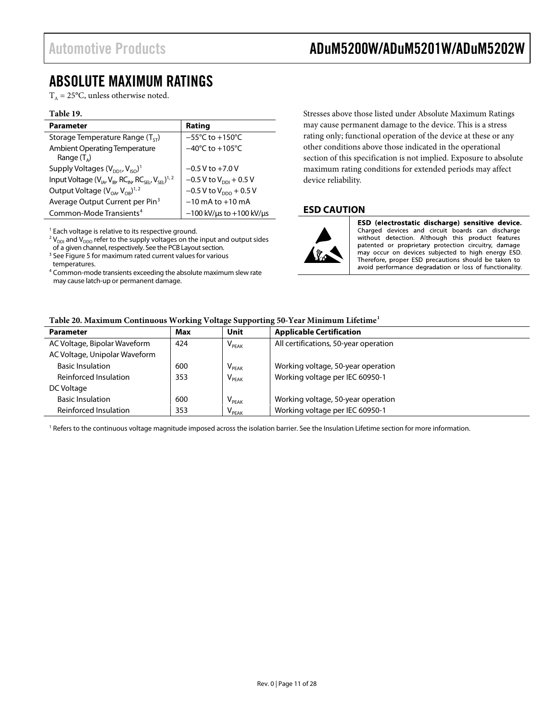## <span id="page-10-4"></span>Automotive Products ADuM5200W/ADuM5201W/ADuM5202W

## <span id="page-10-0"></span>ABSOLUTE MAXIMUM RATINGS

 $T_A = 25^{\circ}$ C, unless otherwise noted.

### <span id="page-10-3"></span>**Table 19.**

| <b>Parameter</b>                                                                                            | Rating                              |
|-------------------------------------------------------------------------------------------------------------|-------------------------------------|
| Storage Temperature Range $(T_{cr})$                                                                        | $-55^{\circ}$ C to $+150^{\circ}$ C |
| <b>Ambient Operating Temperature</b><br>Range $(T_A)$                                                       | $-40^{\circ}$ C to $+105^{\circ}$ C |
| Supply Voltages $(V_{DD1}, V_{ISO})^T$                                                                      | $-0.5$ V to $+7.0$ V                |
| Input Voltage $(V_{IA}, V_{IR}$ , RC <sub>IN</sub> , RC <sub>SEI</sub> , V <sub>SEI</sub> ) <sup>1, 2</sup> | $-0.5$ V to $V_{DDI}$ + 0.5 V       |
| Output Voltage $(V_{OA}, V_{OR})^{1/2}$                                                                     | $-0.5$ V to $V_{DDO}$ + 0.5 V       |
| Average Output Current per Pin <sup>3</sup>                                                                 | $-10$ mA to $+10$ mA                |
| Common-Mode Transients <sup>4</sup>                                                                         | $-100$ kV/us to $+100$ kV/us        |

<sup>1</sup> Each voltage is relative to its respective ground.

 $^2$  V<sub>DDI</sub> and V<sub>DDO</sub> refer to the supply voltages on the input and output sides of a given channel, respectively. See the PCB Layout section.

<sup>3</sup> Se[e Figure 5](#page-9-2) for maximum rated current values for various temperatures.

<sup>4</sup> Common-mode transients exceeding the absolute maximum slew rate may cause latch-up or permanent damage.

Stresses above those listed under Absolute Maximum Ratings may cause permanent damage to the device. This is a stress rating only; functional operation of the device at these or any other conditions above those indicated in the operational section of this specification is not implied. Exposure to absolute maximum rating conditions for extended periods may affect device reliability.

### <span id="page-10-1"></span>**ESD CAUTION**



ESD (electrostatic discharge) sensitive device. Charged devices and circuit boards can discharge without detection. Although this product features patented or proprietary protection circuitry, damage may occur on devices subjected to high energy ESD. Therefore, proper ESD precautions should be taken to avoid performance degradation or loss of functionality.

### <span id="page-10-2"></span>**Table 20. Maximum Continuous Working Voltage Supporting 50-Year Minimum Lifetime[1](#page-10-4)**

| <b>Parameter</b>              | Max | Unit                         | <b>Applicable Certification</b>       |
|-------------------------------|-----|------------------------------|---------------------------------------|
| AC Voltage, Bipolar Waveform  | 424 | $\mathsf{V}_{\mathsf{PEAK}}$ | All certifications, 50-year operation |
| AC Voltage, Unipolar Waveform |     |                              |                                       |
| <b>Basic Insulation</b>       | 600 | <b>V</b> <sub>PEAK</sub>     | Working voltage, 50-year operation    |
| Reinforced Insulation         | 353 | <b>V</b> <sub>PEAK</sub>     | Working voltage per IEC 60950-1       |
| DC Voltage                    |     |                              |                                       |
| <b>Basic Insulation</b>       | 600 | <b>V</b> <sub>PEAK</sub>     | Working voltage, 50-year operation    |
| Reinforced Insulation         | 353 | <b>V</b> <sub>PEAK</sub>     | Working voltage per IEC 60950-1       |

<sup>1</sup> Refers to the continuous voltage magnitude imposed across the isolation barrier. See th[e Insulation Lifetime](#page-23-0) section for more information.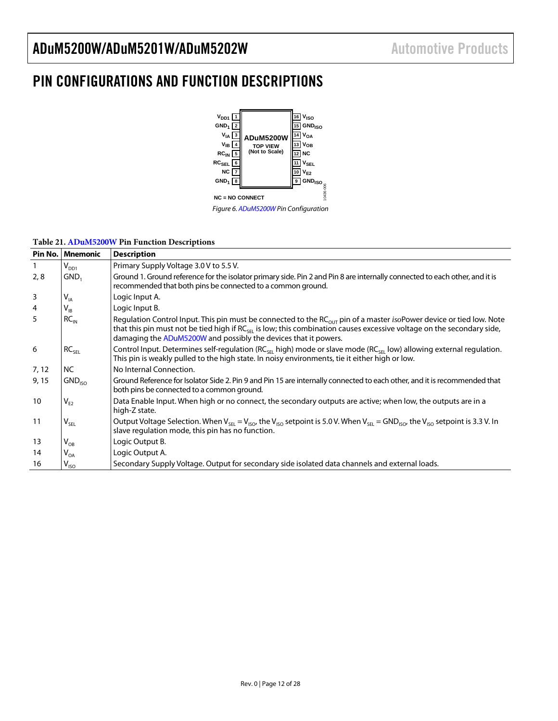## <span id="page-11-0"></span>PIN CONFIGURATIONS AND FUNCTION DESCRIPTIONS



**Table 21[. ADuM5200W](http://www.analog.com/ADuM5200) Pin Function Descriptions**

|       | <b>Pin No.   Mnemonic</b>   | <b>Description</b>                                                                                                                                                                                                                                                                                                                             |
|-------|-----------------------------|------------------------------------------------------------------------------------------------------------------------------------------------------------------------------------------------------------------------------------------------------------------------------------------------------------------------------------------------|
|       | $\mathsf{V}_{\mathsf{DD1}}$ | Primary Supply Voltage 3.0 V to 5.5 V.                                                                                                                                                                                                                                                                                                         |
| 2, 8  | GND,                        | Ground 1. Ground reference for the isolator primary side. Pin 2 and Pin 8 are internally connected to each other, and it is<br>recommended that both pins be connected to a common ground.                                                                                                                                                     |
| 3     | $\mathsf{V}_{\mathsf{IA}}$  | Logic Input A.                                                                                                                                                                                                                                                                                                                                 |
| 4     | $\mathsf{V}_{\mathsf{IB}}$  | Logic Input B.                                                                                                                                                                                                                                                                                                                                 |
| 5     | $RC_{IN}$                   | Regulation Control Input. This pin must be connected to the RC <sub>OUT</sub> pin of a master <i>iso</i> Power device or tied low. Note<br>that this pin must not be tied high if $RC_{\text{SE}}$ is low; this combination causes excessive voltage on the secondary side,<br>damaging the ADuM5200W and possibly the devices that it powers. |
| 6     | RC <sub>SEL</sub>           | Control Input. Determines self-regulation ( $RC_{\rm SF}$ high) mode or slave mode ( $RC_{\rm SF}$ low) allowing external regulation.<br>This pin is weakly pulled to the high state. In noisy environments, tie it either high or low.                                                                                                        |
| 7,12  | NC.                         | No Internal Connection.                                                                                                                                                                                                                                                                                                                        |
| 9, 15 | GND <sub>ISO</sub>          | Ground Reference for Isolator Side 2. Pin 9 and Pin 15 are internally connected to each other, and it is recommended that<br>both pins be connected to a common ground.                                                                                                                                                                        |
| 10    | $V_{E2}$                    | Data Enable Input. When high or no connect, the secondary outputs are active; when low, the outputs are in a<br>high-Z state.                                                                                                                                                                                                                  |
| 11    | $\mathsf{V}_{\mathsf{SEL}}$ | Output Voltage Selection. When V <sub>SFI</sub> = V <sub>ISO</sub> , the V <sub>ISO</sub> setpoint is 5.0 V. When V <sub>SFI</sub> = GND <sub>ISO</sub> , the V <sub>ISO</sub> setpoint is 3.3 V. In<br>slave regulation mode, this pin has no function.                                                                                       |
| 13    | $\mathsf{V}_{\mathsf{OB}}$  | Logic Output B.                                                                                                                                                                                                                                                                                                                                |
| 14    | $\mathsf{V}_{\mathsf{OA}}$  | Logic Output A.                                                                                                                                                                                                                                                                                                                                |
| 16    | $\mathsf{V}_{\mathsf{ISO}}$ | Secondary Supply Voltage. Output for secondary side isolated data channels and external loads.                                                                                                                                                                                                                                                 |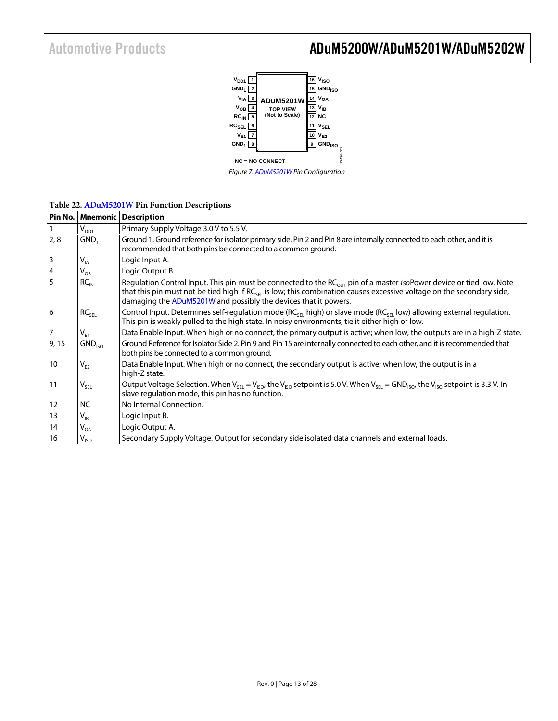## Automotive Products **ADuM5200W/ADuM5201W/ADuM5202W**



| Table 22. ADuM5201W Pin Function Descriptions |  |
|-----------------------------------------------|--|
|-----------------------------------------------|--|

| Pin No.        |                             | <b>Mnemonic Description</b>                                                                                                                                                                                                                                                                                                                     |
|----------------|-----------------------------|-------------------------------------------------------------------------------------------------------------------------------------------------------------------------------------------------------------------------------------------------------------------------------------------------------------------------------------------------|
| $\mathbf{1}$   | $V_{DD1}$                   | Primary Supply Voltage 3.0 V to 5.5 V.                                                                                                                                                                                                                                                                                                          |
| 2, 8           | GND,                        | Ground 1. Ground reference for isolator primary side. Pin 2 and Pin 8 are internally connected to each other, and it is<br>recommended that both pins be connected to a common ground.                                                                                                                                                          |
| 3              | $V_{IA}$                    | Logic Input A.                                                                                                                                                                                                                                                                                                                                  |
| $\overline{4}$ | $\mathsf{V}_{\mathsf{OB}}$  | Logic Output B.                                                                                                                                                                                                                                                                                                                                 |
| 5              | $RC_{IN}$                   | Regulation Control Input. This pin must be connected to the RC <sub>OUT</sub> pin of a master <i>iso</i> Power device or tied low. Note<br>that this pin must not be tied high if RC <sub>SFL</sub> is low; this combination causes excessive voltage on the secondary side,<br>damaging the ADuM5201W and possibly the devices that it powers. |
| 6              | RC <sub>SEL</sub>           | Control Input. Determines self-regulation mode (RC <sub>SEL</sub> high) or slave mode (RC <sub>SEL</sub> low) allowing external regulation.<br>This pin is weakly pulled to the high state. In noisy environments, tie it either high or low.                                                                                                   |
| $\overline{7}$ | $V_{F1}$                    | Data Enable Input. When high or no connect, the primary output is active; when low, the outputs are in a high-Z state.                                                                                                                                                                                                                          |
| 9,15           | GND <sub>ISO</sub>          | Ground Reference for Isolator Side 2. Pin 9 and Pin 15 are internally connected to each other, and it is recommended that<br>both pins be connected to a common ground.                                                                                                                                                                         |
| 10             | $V_{E2}$                    | Data Enable Input. When high or no connect, the secondary output is active; when low, the output is in a<br>high-Z state.                                                                                                                                                                                                                       |
| 11             | $\mathsf{V}_{\mathsf{SEL}}$ | Output Voltage Selection. When V <sub>SFI</sub> = V <sub>ISO</sub> , the V <sub>ISO</sub> setpoint is 5.0 V. When V <sub>SFI</sub> = GND <sub>ISO</sub> , the V <sub>ISO</sub> setpoint is 3.3 V. In<br>slave regulation mode, this pin has no function.                                                                                        |
| 12             | NC.                         | No Internal Connection.                                                                                                                                                                                                                                                                                                                         |
| 13             | $V_{IB}$                    | Logic Input B.                                                                                                                                                                                                                                                                                                                                  |
| 14             | $\mathsf{V}_{\mathsf{OA}}$  | Logic Output A.                                                                                                                                                                                                                                                                                                                                 |
| 16             | $\mathsf{V}_{\mathsf{ISO}}$ | Secondary Supply Voltage. Output for secondary side isolated data channels and external loads.                                                                                                                                                                                                                                                  |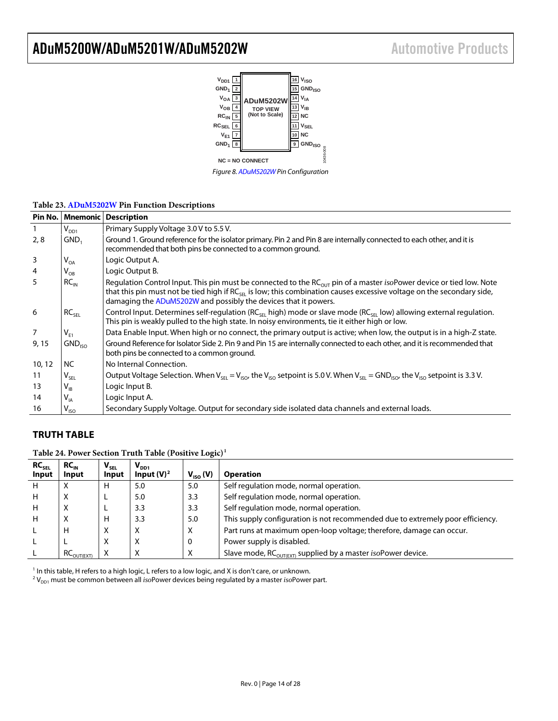

<span id="page-13-1"></span>**Table 23[. ADuM5202W](http://www.analog.com/ADuM5202) Pin Function Descriptions**

|                |                                                | Pin No.   Mnemonic   Description                                                                                                                                                                                                                                                                                                               |
|----------------|------------------------------------------------|------------------------------------------------------------------------------------------------------------------------------------------------------------------------------------------------------------------------------------------------------------------------------------------------------------------------------------------------|
|                | $\mathsf{V}_{\mathsf{DD1}}$                    | Primary Supply Voltage 3.0 V to 5.5 V.                                                                                                                                                                                                                                                                                                         |
| 2, 8           | GND,                                           | Ground 1. Ground reference for the isolator primary. Pin 2 and Pin 8 are internally connected to each other, and it is                                                                                                                                                                                                                         |
|                |                                                | recommended that both pins be connected to a common ground.                                                                                                                                                                                                                                                                                    |
| 3              | $\mathsf{V}_{\mathsf{OA}}$                     | Logic Output A.                                                                                                                                                                                                                                                                                                                                |
| $\overline{4}$ | $\mathsf{V}_{\mathsf{OB}}$                     | Logic Output B.                                                                                                                                                                                                                                                                                                                                |
| 5              | $RC_{IN}$                                      | Regulation Control Input. This pin must be connected to the RC <sub>OUT</sub> pin of a master <i>iso</i> Power device or tied low. Note<br>that this pin must not be tied high if $RC_{\text{cF}}$ is low; this combination causes excessive voltage on the secondary side,<br>damaging the ADuM5202W and possibly the devices that it powers. |
| 6              | RC <sub>SEL</sub>                              | Control Input. Determines self-regulation ( $RC_{\text{SFL}}$ high) mode or slave mode ( $RC_{\text{SFL}}$ low) allowing external regulation.<br>This pin is weakly pulled to the high state. In noisy environments, tie it either high or low.                                                                                                |
| 7              | $\mathsf{V}_{\scriptscriptstyle{\sf F1}}$      | Data Enable Input. When high or no connect, the primary output is active; when low, the output is in a high-Z state.                                                                                                                                                                                                                           |
| 9, 15          | GND <sub>ISO</sub>                             | Ground Reference for Isolator Side 2. Pin 9 and Pin 15 are internally connected to each other, and it is recommended that<br>both pins be connected to a common ground.                                                                                                                                                                        |
| 10, 12         | NC.                                            | No Internal Connection.                                                                                                                                                                                                                                                                                                                        |
| 11             | $\mathsf{V}_{\mathsf{SEL}}$                    | Output Voltage Selection. When V <sub>SEL</sub> = V <sub>ISO</sub> , the V <sub>ISO</sub> setpoint is 5.0 V. When V <sub>SEL</sub> = GND <sub>ISO</sub> , the V <sub>ISO</sub> setpoint is 3.3 V.                                                                                                                                              |
| 13             | $\mathsf{V}_{\scriptscriptstyle{\mathsf{IB}}}$ | Logic Input B.                                                                                                                                                                                                                                                                                                                                 |
| 14             | $\mathsf{V}_{\mathsf{IA}}$                     | Logic Input A.                                                                                                                                                                                                                                                                                                                                 |
| 16             | $V_{ISO}$                                      | Secondary Supply Voltage. Output for secondary side isolated data channels and external loads.                                                                                                                                                                                                                                                 |

### <span id="page-13-0"></span>**TRUTH TABLE**

<span id="page-13-2"></span>**Table 24. Power Section Truth Table (Positive Logic)[1](#page-13-1)**

| $RC_{\sf SEL}$ | $RC_{IN}$              | $V_{SEL}$ | $V_{DD1}$     |               |                                                                                  |
|----------------|------------------------|-----------|---------------|---------------|----------------------------------------------------------------------------------|
| Input          | Input                  | Input     | Input $(V)^2$ | $V_{ISO} (V)$ | <b>Operation</b>                                                                 |
| H              | х                      | н         | 5.0           | 5.0           | Self regulation mode, normal operation.                                          |
| H              | х                      |           | 5.0           | 3.3           | Self regulation mode, normal operation.                                          |
| H              | х                      |           | 3.3           | 3.3           | Self regulation mode, normal operation.                                          |
| H              | х                      | н         | 3.3           | 5.0           | This supply configuration is not recommended due to extremely poor efficiency.   |
|                | H                      | х         | X             | X             | Part runs at maximum open-loop voltage; therefore, damage can occur.             |
|                |                        | X         | X             | 0             | Power supply is disabled.                                                        |
|                | RC <sub>OUT(EXT)</sub> |           | Χ             | х             | Slave mode, $RC_{\text{OUT(EXT)}}$ supplied by a master <i>iso</i> Power device. |

<sup>1</sup> In this table, H refers to a high logic, L refers to a low logic, and X is don't care, or unknown.

 $^{2}$  V<sub>DD1</sub> must be common between all *iso*Power devices being regulated by a master *iso*Power part.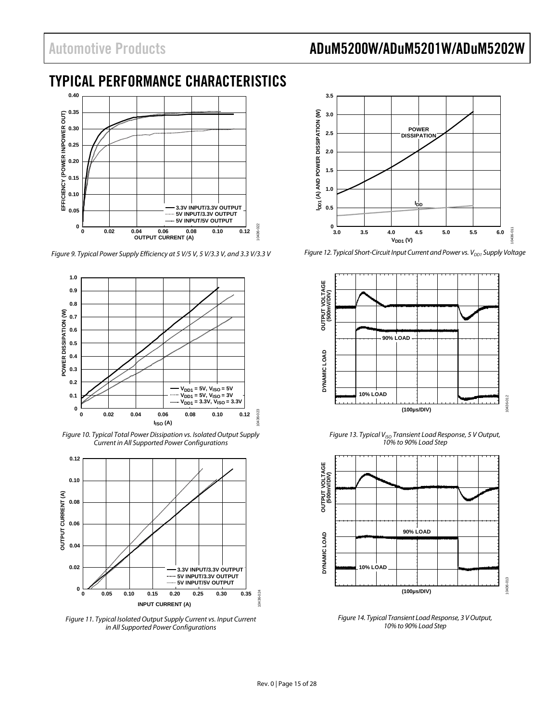## Automotive Products ADuM5200W/ADuM5201W/ADuM5202W

## <span id="page-14-0"></span>TYPICAL PERFORMANCE CHARACTERISTICS



<span id="page-14-2"></span>*Figure 9. Typical Power Supply Efficiency at 5 V/5 V, 5 V/3.3 V, and 3.3 V/3.3 V*



*Figure 10. Typical Total Power Dissipation vs. Isolated Output Supply Current in All Supported Power Configurations*



*Figure 11. Typical Isolated Output Supply Current vs. Input Current in All Supported Power Configurations*



<span id="page-14-1"></span>*Figure 12. Typical Short-Circuit Input Current and Power vs. V<sub>DD1</sub> Supply Voltage* 



*Figure 13. Typical V<sub>ISO</sub> Transient Load Response, 5 V Output, 10% to 90% Load Step* 



*Figure 14. Typical Transient Load Response, 3 V Output, 10% to 90% Load Step*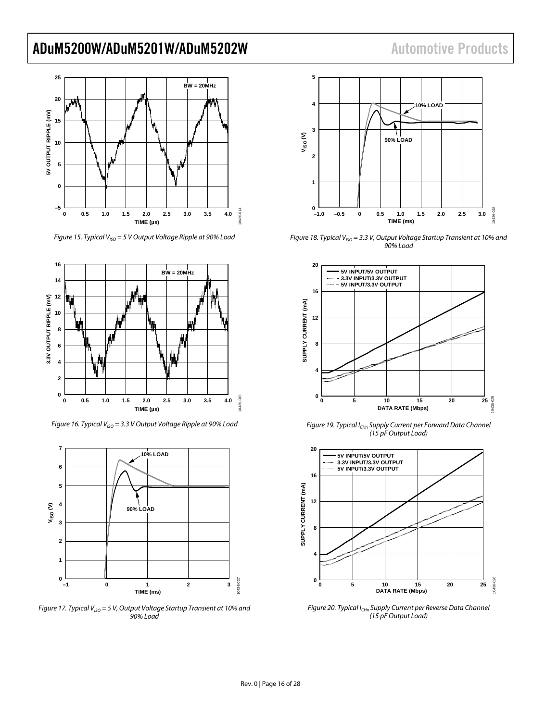### **25 BW = 20MHz 20** 7 5V OUTPUT RIPPLE (mV) **5V OUTPUT RIPPLE (mV) 15 10 5 0 –5** 10436-014 10436-014 **0 0.5 1.0 1.5 2.0 2.5 3.0 3.5 4.0 TIME (µs)**

*Figure 15. Typical*  $V_{ISO} = 5$  *V* Output Voltage Ripple at 90% Load



*Figure 16. Typical V<sub>ISO</sub>* = 3.3 V Output Voltage Ripple at 90% Load



<span id="page-15-0"></span>*Figure 17. Typical V<sub>ISO</sub>* = 5 V, Output Voltage Startup Transient at 10% and *90% Load*



<span id="page-15-1"></span>*Figure 18. Typical V<sub>ISO</sub>* = 3.3 V, Output Voltage Startup Transient at 10% and *90% Load*



*Figure 19. Typical ICHn Supply Current per Forward Data Channel (15 pF Output Load)*

<span id="page-15-2"></span>

<span id="page-15-3"></span>*Figure 20. Typical ICHn Supply Current per Reverse Data Channel (15 pF Output Load)*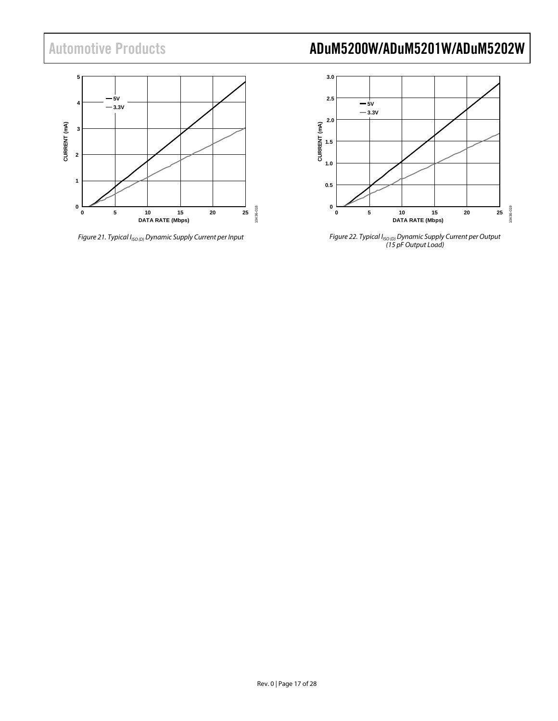

*Figure 21. Typical I<sub>ISO(D)</sub> Dynamic Supply Current per Input* 

## Automotive Products **ADuM5200W/ADuM5201W/ADuM5202W**



*Figure 22. Typical IISO(D) Dynamic Supply Current per Output (15 pF Output Load)*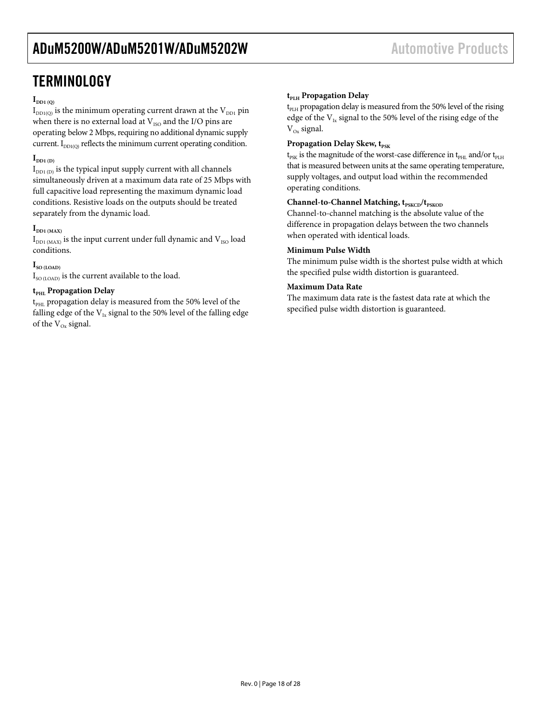## <span id="page-17-0"></span>**TERMINOLOGY**

### $\mathbf{I}_{\text{DD1 (Q)}}$

 $I_{DD1(0)}$  is the minimum operating current drawn at the  $V_{DD1}$  pin when there is no external load at  $V_{ISO}$  and the I/O pins are operating below 2 Mbps, requiring no additional dynamic supply current.  $I_{DD1(0)}$  reflects the minimum current operating condition.

### $\mathbf{I}_{\text{DD1 (D)}}$

 $I_{DD1 (D)}$  is the typical input supply current with all channels simultaneously driven at a maximum data rate of 25 Mbps with full capacitive load representing the maximum dynamic load conditions. Resistive loads on the outputs should be treated separately from the dynamic load.

### $\mathbf{I}_{\text{DD1 (MAX)}}$

 $I_{DD1 (MAX)}$  is the input current under full dynamic and  $V_{ISO}$  load conditions.

### $I_{SO (LOAD)}$

 $I_{\text{SO (LOAD)}}$  is the current available to the load.

### $t_{\text{PHL}}$  **Propagation Delay**

 $t<sub>PHL</sub>$  propagation delay is measured from the 50% level of the falling edge of the  $V_{1x}$  signal to the 50% level of the falling edge of the  $V_{\text{Ox}}$  signal.

### $t_{\text{PIH}}$  **Propagation Delay**

 $t_{PIH}$  propagation delay is measured from the 50% level of the rising edge of the  $V_{1x}$  signal to the 50% level of the rising edge of the  $V_{\text{Ox}}$  signal.

### **Propagation Delay Skew, t<sub>pSK</sub>**

 $t_{PSK}$  is the magnitude of the worst-case difference in  $t_{PHL}$  and/or  $t_{PLH}$ that is measured between units at the same operating temperature, supply voltages, and output load within the recommended operating conditions.

### Channel-to-Channel Matching, t<sub>PSKCD</sub>/t<sub>PSKOD</sub>

Channel-to-channel matching is the absolute value of the difference in propagation delays between the two channels when operated with identical loads.

### **Minimum Pulse Width**

The minimum pulse width is the shortest pulse width at which the specified pulse width distortion is guaranteed.

### **Maximum Data Rate**

The maximum data rate is the fastest data rate at which the specified pulse width distortion is guaranteed.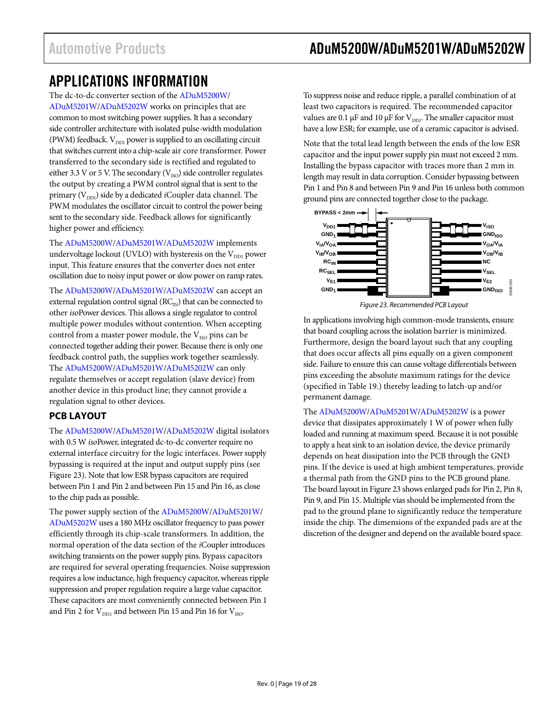## <span id="page-18-0"></span>APPLICATIONS INFORMATION

The dc-to-dc converter section of the [ADuM5200W/](http://www.analog.com/ADuM5200) [ADuM5201W](http://www.analog.com/ADuM5201)[/ADuM5202W](http://www.analog.com/ADuM5202) works on principles that are common to most switching power supplies. It has a secondary side controller architecture with isolated pulse-width modulation (PWM) feedback.  $V_{DD1}$  power is supplied to an oscillating circuit that switches current into a chip-scale air core transformer. Power transferred to the secondary side is rectified and regulated to either 3.3 V or 5 V. The secondary ( $V_{ISO}$ ) side controller regulates the output by creating a PWM control signal that is sent to the primary (V<sub>DD1</sub>) side by a dedicated *i*Coupler data channel. The PWM modulates the oscillator circuit to control the power being sent to the secondary side. Feedback allows for significantly higher power and efficiency.

The [ADuM5200W/](http://www.analog.com/ADuM5200)[ADuM5201W](http://www.analog.com/ADuM5201)[/ADuM5202W](http://www.analog.com/ADuM5202) implements undervoltage lockout (UVLO) with hysteresis on the  $V_{DD1}$  power input. This feature ensures that the converter does not enter oscillation due to noisy input power or slow power on ramp rates.

The [ADuM5200W/](http://www.analog.com/ADuM5200)[ADuM5201W](http://www.analog.com/ADuM5201)[/ADuM5202W](http://www.analog.com/ADuM5202) can accept an external regulation control signal  $(RC<sub>IN</sub>)$  that can be connected to other *iso*Power devices. This allows a single regulator to control multiple power modules without contention. When accepting control from a master power module, the  $V_{ISO}$  pins can be connected together adding their power. Because there is only one feedback control path, the supplies work together seamlessly. The [ADuM5200W/](http://www.analog.com/ADuM5200)[ADuM5201W](http://www.analog.com/ADuM5201)[/ADuM5202W](http://www.analog.com/ADuM5202) can only regulate themselves or accept regulation (slave device) from another device in this product line; they cannot provide a regulation signal to other devices.

### <span id="page-18-1"></span>**PCB LAYOUT**

The [ADuM5200W/](http://www.analog.com/ADuM5200)[ADuM5201W](http://www.analog.com/ADuM5201)[/ADuM5202W](http://www.analog.com/ADuM5202) digital isolators with 0.5 W *iso*Power, integrated dc-to-dc converter require no external interface circuitry for the logic interfaces. Power supply bypassing is required at the input and output supply pins (see [Figure 23\)](#page-18-2). Note that low ESR bypass capacitors are required between Pin 1 and Pin 2 and between Pin 15 and Pin 16, as close to the chip pads as possible.

The power supply section of the [ADuM5200W/](http://www.analog.com/ADuM5200)[ADuM5201W/](http://www.analog.com/ADuM5201) [ADuM5202W](http://www.analog.com/ADuM5202) uses a 180 MHz oscillator frequency to pass power efficiently through its chip-scale transformers. In addition, the normal operation of the data section of the *i*Coupler introduces switching transients on the power supply pins. Bypass capacitors are required for several operating frequencies. Noise suppression requires a low inductance, high frequency capacitor, whereas ripple suppression and proper regulation require a large value capacitor. These capacitors are most conveniently connected between Pin 1 and Pin 2 for  $V_{DD1}$  and between Pin 15 and Pin 16 for  $V_{ISO}$ .

To suppress noise and reduce ripple, a parallel combination of at least two capacitors is required. The recommended capacitor values are 0.1  $\mu$ F and 10  $\mu$ F for V<sub>DD1</sub>. The smaller capacitor must have a low ESR; for example, use of a ceramic capacitor is advised.

Note that the total lead length between the ends of the low ESR capacitor and the input power supply pin must not exceed 2 mm. Installing the bypass capacitor with traces more than 2 mm in length may result in data corruption. Consider bypassing between Pin 1 and Pin 8 and between Pin 9 and Pin 16 unless both common ground pins are connected together close to the package.



*Figure 23. Recommended PCB Layout*

<span id="page-18-2"></span>In applications involving high common-mode transients, ensure that board coupling across the isolation barrier is minimized. Furthermore, design the board layout such that any coupling that does occur affects all pins equally on a given component side. Failure to ensure this can cause voltage differentials between pins exceeding the absolute maximum ratings for the device (specified in [Table 19.\)](#page-10-3) thereby leading to latch-up and/or permanent damage.

The [ADuM5200W/](http://www.analog.com/ADuM5200)[ADuM5201W](http://www.analog.com/ADuM5201)[/ADuM5202W](http://www.analog.com/ADuM5202) is a power device that dissipates approximately 1 W of power when fully loaded and running at maximum speed. Because it is not possible to apply a heat sink to an isolation device, the device primarily depends on heat dissipation into the PCB through the GND pins. If the device is used at high ambient temperatures, provide a thermal path from the GND pins to the PCB ground plane. The board layout i[n Figure 23](#page-18-2) shows enlarged pads for Pin 2, Pin 8, Pin 9, and Pin 15. Multiple vias should be implemented from the pad to the ground plane to significantly reduce the temperature inside the chip. The dimensions of the expanded pads are at the discretion of the designer and depend on the available board space.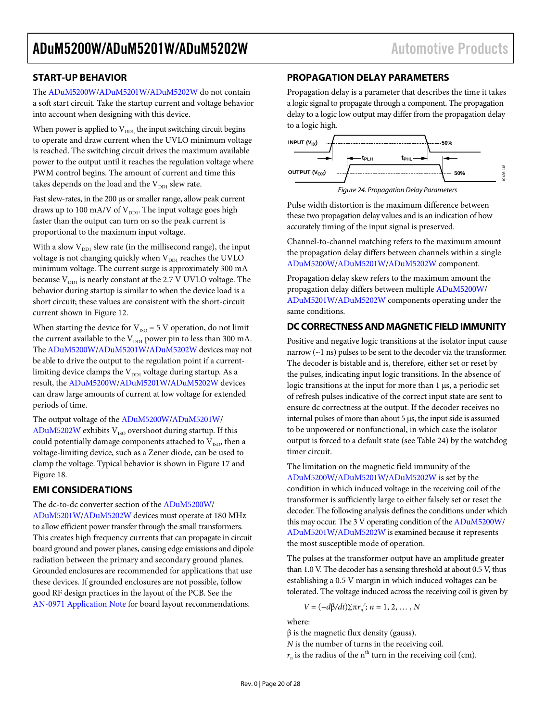### <span id="page-19-0"></span>**START-UP BEHAVIOR**

The [ADuM5200W/](http://www.analog.com/ADuM5200)[ADuM5201W](http://www.analog.com/ADuM5201)[/ADuM5202W](http://www.analog.com/ADuM5202) do not contain a soft start circuit. Take the startup current and voltage behavior into account when designing with this device.

When power is applied to  $\rm V_{\rm DDL}$ , the input switching circuit begins to operate and draw current when the UVLO minimum voltage is reached. The switching circuit drives the maximum available power to the output until it reaches the regulation voltage where PWM control begins. The amount of current and time this takes depends on the load and the  $V_{DD1}$  slew rate.

Fast slew-rates, in the 200 µs or smaller range, allow peak current draws up to 100 mA/V of  $V_{DD1}$ . The input voltage goes high faster than the output can turn on so the peak current is proportional to the maximum input voltage.

With a slow  $V_{\text{DD1}}$  slew rate (in the millisecond range), the input voltage is not changing quickly when  $\rm V_{\rm DD1}$  reaches the UVLO minimum voltage. The current surge is approximately 300 mA because  $\mathrm{V_{DD1}}$  is nearly constant at the 2.7 V UVLO voltage. The behavior during startup is similar to when the device load is a short circuit; these values are consistent with the short-circuit current shown in [Figure 12.](#page-14-1) 

When starting the device for  $V_{ISO} = 5$  V operation, do not limit the current available to the  $V_{DD1}$  power pin to less than 300 mA. Th[e ADuM5200W](http://www.analog.com/ADuM5200)[/ADuM5201W](http://www.analog.com/ADuM5201)[/ADuM5202W](http://www.analog.com/ADuM5202) devices may not be able to drive the output to the regulation point if a currentlimiting device clamps the  $V_{DD1}$  voltage during startup. As a result, th[e ADuM5200W/](http://www.analog.com/ADuM5200)[ADuM5201W](http://www.analog.com/ADuM5201)[/ADuM5202W](http://www.analog.com/ADuM5202) devices can draw large amounts of current at low voltage for extended periods of time.

The output voltage of th[e ADuM5200W](http://www.analog.com/ADuM5200)[/ADuM5201W/](http://www.analog.com/ADuM5201) [ADuM5202W](http://www.analog.com/ADuM5202) exhibits  $V_{ISO}$  overshoot during startup. If this could potentially damage components attached to  $\rm V_{ISO}$  then a voltage-limiting device, such as a Zener diode, can be used to clamp the voltage. Typical behavior is shown i[n Figure 17](#page-15-0) and [Figure 18.](#page-15-1) 

### <span id="page-19-1"></span>**EMI CONSIDERATIONS**

The dc-to-dc converter section of th[e ADuM5200W/](http://www.analog.com/ADuM5200) [ADuM5201W](http://www.analog.com/ADuM5201)[/ADuM5202W](http://www.analog.com/ADuM5202) devices must operate at 180 MHz to allow efficient power transfer through the small transformers. This creates high frequency currents that can propagate in circuit board ground and power planes, causing edge emissions and dipole radiation between the primary and secondary ground planes. Grounded enclosures are recommended for applications that use these devices. If grounded enclosures are not possible, follow good RF design practices in the layout of the PCB. See the [AN-0971 Application Note](http://www.analog.com/AN-0971) for board layout recommendations.

### <span id="page-19-2"></span>**PROPAGATION DELAY PARAMETERS**

Propagation delay is a parameter that describes the time it takes a logic signal to propagate through a component. The propagation delay to a logic low output may differ from the propagation delay to a logic high.





Pulse width distortion is the maximum difference between these two propagation delay values and is an indication of how accurately timing of the input signal is preserved.

Channel-to-channel matching refers to the maximum amount the propagation delay differs between channels within a single [ADuM5200W](http://www.analog.com/ADuM5200)[/ADuM5201W](http://www.analog.com/ADuM5201)[/ADuM5202W](http://www.analog.com/ADuM5202) component.

Propagation delay skew refers to the maximum amount the propagation delay differs between multiple [ADuM5200W/](http://www.analog.com/ADuM5200) [ADuM5201W](http://www.analog.com/ADuM5201)[/ADuM5202W](http://www.analog.com/ADuM5202) components operating under the same conditions.

### <span id="page-19-3"></span>**DC CORRECTNESS AND MAGNETIC FIELD IMMUNITY**

Positive and negative logic transitions at the isolator input cause narrow ( $\sim$ 1 ns) pulses to be sent to the decoder via the transformer. The decoder is bistable and is, therefore, either set or reset by the pulses, indicating input logic transitions. In the absence of logic transitions at the input for more than 1 µs, a periodic set of refresh pulses indicative of the correct input state are sent to ensure dc correctness at the output. If the decoder receives no internal pulses of more than about 5 µs, the input side is assumed to be unpowered or nonfunctional, in which case the isolator output is forced to a default state (see [Table 24\)](#page-13-2) by the watchdog timer circuit.

The limitation on the magnetic field immunity of the [ADuM5200W](http://www.analog.com/ADuM5200)[/ADuM5201W](http://www.analog.com/ADuM5201)[/ADuM5202W](http://www.analog.com/ADuM5202) is set by the condition in which induced voltage in the receiving coil of the transformer is sufficiently large to either falsely set or reset the decoder. The following analysis defines the conditions under which this may occur. The 3 V operating condition of th[e ADuM5200W/](http://www.analog.com/ADuM5200) [ADuM5201W](http://www.analog.com/ADuM5201)[/ADuM5202W](http://www.analog.com/ADuM5202) is examined because it represents the most susceptible mode of operation.

The pulses at the transformer output have an amplitude greater than 1.0 V. The decoder has a sensing threshold at about 0.5 V, thus establishing a 0.5 V margin in which induced voltages can be tolerated. The voltage induced across the receiving coil is given by

 $V = (-d\beta/dt) \sum \pi r_n^2$ ; *n* = 1, 2, ..., *N* 

where:

 $β$  is the magnetic flux density (gauss).

- *N* is the number of turns in the receiving coil.
- $r_n$  is the radius of the n<sup>th</sup> turn in the receiving coil (cm).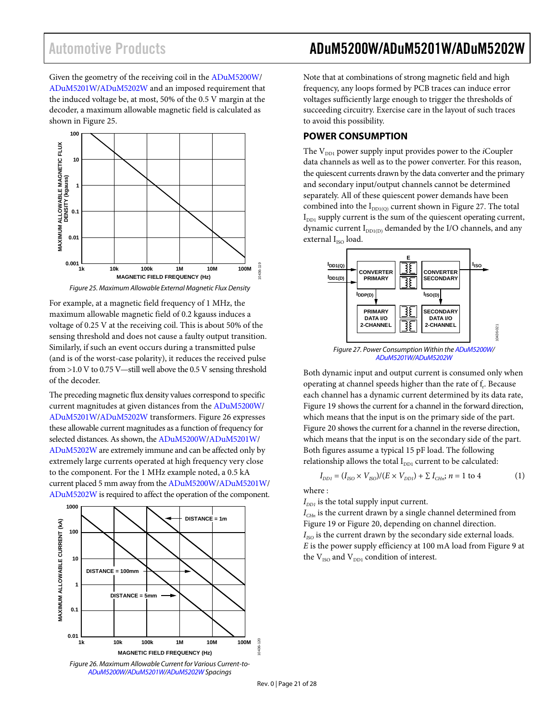Given the geometry of the receiving coil in the [ADuM5200W/](http://www.analog.com/ADuM5200) [ADuM5201W](http://www.analog.com/ADuM5201)[/ADuM5202W](http://www.analog.com/ADuM5202) and an imposed requirement that the induced voltage be, at most, 50% of the 0.5 V margin at the decoder, a maximum allowable magnetic field is calculated as shown in [Figure 25.](#page-20-1) 



*Figure 25. Maximum Allowable External Magnetic Flux Density*

<span id="page-20-1"></span>For example, at a magnetic field frequency of 1 MHz, the maximum allowable magnetic field of 0.2 kgauss induces a voltage of 0.25 V at the receiving coil. This is about 50% of the sensing threshold and does not cause a faulty output transition. Similarly, if such an event occurs during a transmitted pulse (and is of the worst-case polarity), it reduces the received pulse from >1.0 V to 0.75 V—still well above the 0.5 V sensing threshold of the decoder.

The preceding magnetic flux density values correspond to specific current magnitudes at given distances from th[e ADuM5200W/](http://www.analog.com/ADuM5200) [ADuM5201W](http://www.analog.com/ADuM5201)[/ADuM5202W](http://www.analog.com/ADuM5202) transformers. [Figure 26](#page-20-2) expresses these allowable current magnitudes as a function of frequency for selected distances. As shown, th[e ADuM5200W](http://www.analog.com/ADuM5200)[/ADuM5201W/](http://www.analog.com/ADuM5201) [ADuM5202W](http://www.analog.com/ADuM5202) are extremely immune and can be affected only by extremely large currents operated at high frequency very close to the component. For the 1 MHz example noted, a 0.5 kA current placed 5 mm away from the [ADuM5200W](http://www.analog.com/ADuM5200)[/ADuM5201W/](http://www.analog.com/ADuM5201) [ADuM5202W](http://www.analog.com/ADuM5202) is required to affect the operation of the component.

<span id="page-20-2"></span>

## Automotive Products **ADuM5200W/ADuM5201W/ADuM5202W**

Note that at combinations of strong magnetic field and high frequency, any loops formed by PCB traces can induce error voltages sufficiently large enough to trigger the thresholds of succeeding circuitry. Exercise care in the layout of such traces to avoid this possibility.

### <span id="page-20-0"></span>**POWER CONSUMPTION**

The  $V_{\text{DD1}}$  power supply input provides power to the *i*Coupler data channels as well as to the power converter. For this reason, the quiescent currents drawn by the data converter and the primary and secondary input/output channels cannot be determined separately. All of these quiescent power demands have been combined into the  $I_{DD1(Q)}$  current shown in [Figure 27.](#page-20-3) The total  $I<sub>DD1</sub>$  supply current is the sum of the quiescent operating current, dynamic current  $I_{DD1(D)}$  demanded by the I/O channels, and any external  $I_{ISO}$  load.



*Figure 27. Power Consumption Within th[e ADuM5200W/](http://www.analog.com/ADuM5200)  [ADuM5201W/](http://www.analog.com/ADuM5201)[ADuM5202W](http://www.analog.com/ADuM5202)*

<span id="page-20-3"></span>Both dynamic input and output current is consumed only when operating at channel speeds higher than the rate of f<sub>r</sub>. Because each channel has a dynamic current determined by its data rate, [Figure 19](#page-15-2) shows the current for a channel in the forward direction, which means that the input is on the primary side of the part. [Figure 20](#page-15-3) shows the current for a channel in the reverse direction, which means that the input is on the secondary side of the part. Both figures assume a typical 15 pF load. The following relationship allows the total  $I_{DD1}$  current to be calculated:

$$
I_{DD1} = (I_{ISO} \times V_{ISO})/(E \times V_{DD1}) + \sum I_{CHn} ; n = 1 \text{ to } 4
$$
 (1)

where :

 $I_{DD1}$  is the total supply input current.

*I<sub>CHn</sub>* is the current drawn by a single channel determined from [Figure 19](#page-15-2) or [Figure 20,](#page-15-3) depending on channel direction. *I<sub>ISO</sub>* is the current drawn by the secondary side external loads. *E* is the power supply efficiency at 100 mA load fro[m Figure 9](#page-14-2) at the  $V_{ISO}$  and  $V_{DD1}$  condition of interest.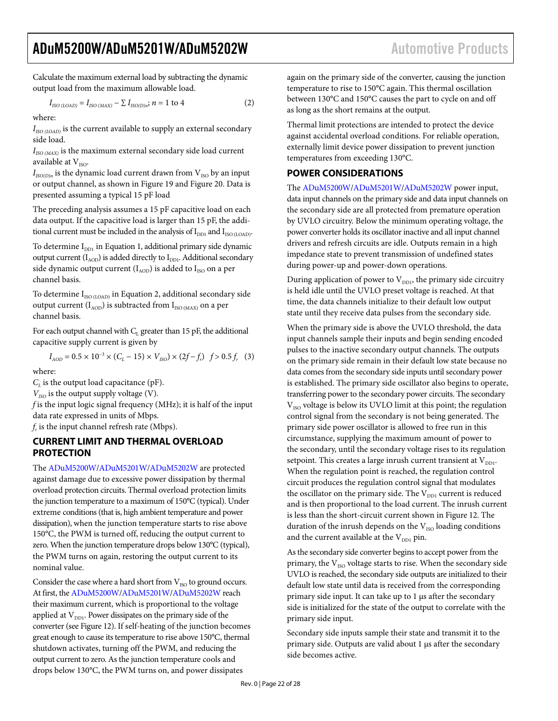Calculate the maximum external load by subtracting the dynamic output load from the maximum allowable load.

$$
I_{ISO (LOAD)} = I_{ISO (MAX)} - \sum I_{ISO(D)n}; n = 1 \text{ to } 4
$$
 (2)

where:

 $I_{ISO\ (LOAD)}$  is the current available to supply an external secondary side load.

 $I_{ISO\,(MAX)}$  is the maximum external secondary side load current available at  $V_{ISO}$ .

 $I_{ISO(D)n}$  is the dynamic load current drawn from  $V_{ISO}$  by an input or output channel, as shown i[n Figure 19](#page-15-2) and [Figure 20.](#page-15-3) Data is presented assuming a typical 15 pF load

The preceding analysis assumes a 15 pF capacitive load on each data output. If the capacitive load is larger than 15 pF, the additional current must be included in the analysis of  $I_{DD1}$  and  $I_{ISO (LOAD)}$ .

To determine  $I_{DD1}$  in Equation 1, additional primary side dynamic output current  $(I_{AOD})$  is added directly to  $I_{DD1}$ . Additional secondary side dynamic output current  $(I_{AOD})$  is added to  $I_{ISO}$  on a per channel basis.

To determine  $I_{ISO (LOAD)}$  in Equation 2, additional secondary side output current  $(I_{AOD})$  is subtracted from  $I_{ISO\,(MAX)}$  on a per channel basis.

For each output channel with  $C_L$  greater than 15 pF, the additional capacitive supply current is given by

 $I_{AOD} = 0.5 \times 10^{-3} \times (C_L - 15) \times V_{ISO} \times (2f - f_r)$  *f* > 0.5  $f_r$  (3)

where:

 $C_L$  is the output load capacitance (pF).

 $V_{ISO}$  is the output supply voltage (V).

*f* is the input logic signal frequency (MHz); it is half of the input data rate expressed in units of Mbps.

 $f_r$  is the input channel refresh rate (Mbps).

### <span id="page-21-0"></span>**CURRENT LIMIT AND THERMAL OVERLOAD PROTECTION**

The [ADuM5200W/](http://www.analog.com/ADuM5200)[ADuM5201W](http://www.analog.com/ADuM5201)[/ADuM5202W](http://www.analog.com/ADuM5202) are protected against damage due to excessive power dissipation by thermal overload protection circuits. Thermal overload protection limits the junction temperature to a maximum of 150°C (typical). Under extreme conditions (that is, high ambient temperature and power dissipation), when the junction temperature starts to rise above 150°C, the PWM is turned off, reducing the output current to zero. When the junction temperature drops below 130°C (typical), the PWM turns on again, restoring the output current to its nominal value.

Consider the case where a hard short from  $V_{ISO}$  to ground occurs. At first, th[e ADuM5200W](http://www.analog.com/ADuM5200)[/ADuM5201W](http://www.analog.com/ADuM5201)[/ADuM5202W](http://www.analog.com/ADuM5202) reach their maximum current, which is proportional to the voltage applied at  $V_{DD1}$ . Power dissipates on the primary side of the converter (see [Figure 12\)](#page-14-1). If self-heating of the junction becomes great enough to cause its temperature to rise above 150°C, thermal shutdown activates, turning off the PWM, and reducing the output current to zero. As the junction temperature cools and drops below 130°C, the PWM turns on, and power dissipates

again on the primary side of the converter, causing the junction temperature to rise to 150°C again. This thermal oscillation between 130°C and 150°C causes the part to cycle on and off as long as the short remains at the output.

Thermal limit protections are intended to protect the device against accidental overload conditions. For reliable operation, externally limit device power dissipation to prevent junction temperatures from exceeding 130°C.

### <span id="page-21-1"></span>**POWER CONSIDERATIONS**

The [ADuM5200W/](http://www.analog.com/ADuM5200)[ADuM5201W](http://www.analog.com/ADuM5201)[/ADuM5202W](http://www.analog.com/ADuM5202) power input, data input channels on the primary side and data input channels on the secondary side are all protected from premature operation by UVLO circuitry. Below the minimum operating voltage, the power converter holds its oscillator inactive and all input channel drivers and refresh circuits are idle. Outputs remain in a high impedance state to prevent transmission of undefined states during power-up and power-down operations.

During application of power to  $V_{DD1}$ , the primary side circuitry is held idle until the UVLO preset voltage is reached. At that time, the data channels initialize to their default low output state until they receive data pulses from the secondary side.

When the primary side is above the UVLO threshold, the data input channels sample their inputs and begin sending encoded pulses to the inactive secondary output channels. The outputs on the primary side remain in their default low state because no data comes from the secondary side inputs until secondary power is established. The primary side oscillator also begins to operate, transferring power to the secondary power circuits. The secondary  $V<sub>ISO</sub>$  voltage is below its UVLO limit at this point; the regulation control signal from the secondary is not being generated. The primary side power oscillator is allowed to free run in this circumstance, supplying the maximum amount of power to the secondary, until the secondary voltage rises to its regulation setpoint. This creates a large inrush current transient at  $V_{DD1}$ . When the regulation point is reached, the regulation control circuit produces the regulation control signal that modulates the oscillator on the primary side. The  $V_{DD1}$  current is reduced and is then proportional to the load current. The inrush current is less than the short-circuit current shown in [Figure 12.](#page-14-1) The duration of the inrush depends on the  $V_{ISO}$  loading conditions and the current available at the  $\rm V_{DD1}$  pin.

As the secondary side converter begins to accept power from the primary, the  $V_{ISO}$  voltage starts to rise. When the secondary side UVLO is reached, the secondary side outputs are initialized to their default low state until data is received from the corresponding primary side input. It can take up to 1 µs after the secondary side is initialized for the state of the output to correlate with the primary side input.

Secondary side inputs sample their state and transmit it to the primary side. Outputs are valid about 1 µs after the secondary side becomes active.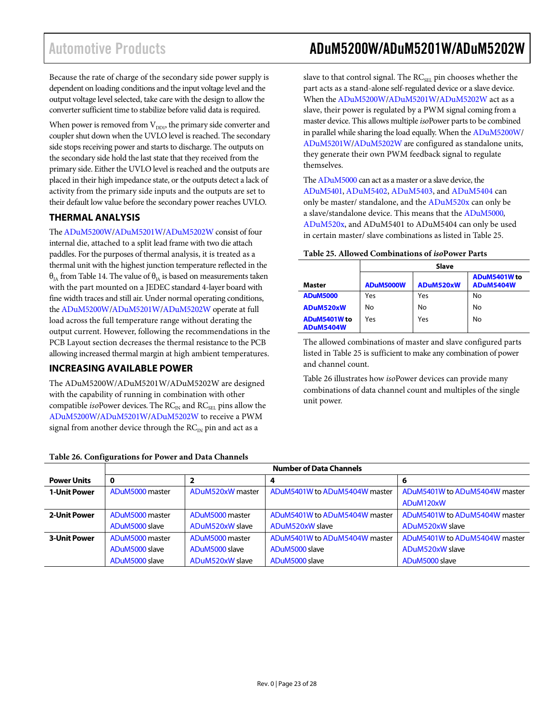Because the rate of charge of the secondary side power supply is dependent on loading conditions and the input voltage level and the output voltage level selected, take care with the design to allow the converter sufficient time to stabilize before valid data is required.

When power is removed from  $V_{DD1}$ , the primary side converter and coupler shut down when the UVLO level is reached. The secondary side stops receiving power and starts to discharge. The outputs on the secondary side hold the last state that they received from the primary side. Either the UVLO level is reached and the outputs are placed in their high impedance state, or the outputs detect a lack of activity from the primary side inputs and the outputs are set to their default low value before the secondary power reaches UVLO.

### <span id="page-22-0"></span>**THERMAL ANALYSIS**

Th[e ADuM5200W](http://www.analog.com/ADuM5200)[/ADuM5201W](http://www.analog.com/ADuM5201)[/ADuM5202W](http://www.analog.com/ADuM5202) consist of four internal die, attached to a split lead frame with two die attach paddles. For the purposes of thermal analysis, it is treated as a thermal unit with the highest junction temperature reflected in the  $θ<sub>1A</sub>$  from [Table 14.](#page-8-7) The value of  $θ<sub>1A</sub>$  is based on measurements taken with the part mounted on a JEDEC standard 4-layer board with fine width traces and still air. Under normal operating conditions, th[e ADuM5200W](http://www.analog.com/ADuM5200)[/ADuM5201W/](http://www.analog.com/ADuM5201)[ADuM5202W](http://www.analog.com/ADuM5202) operate at full load across the full temperature range without derating the output current. However, following the recommendations in the [PCB Layout](#page-18-1) section decreases the thermal resistance to the PCB allowing increased thermal margin at high ambient temperatures.

### <span id="page-22-1"></span>**INCREASING AVAILABLE POWER**

The [ADuM5200W/](http://www.analog.com/ADuM5200W)[ADuM5201W/](http://www.analog.com/ADuM5201W)[ADuM5202W](http://www.analog.com/ADuM5202W) are designed with the capability of running in combination with other compatible *iso*Power devices. The RC<sub>IN</sub> and RC<sub>SEL</sub> pins allow the [ADuM5200W](http://www.analog.com/ADuM5200)[/ADuM5201W](http://www.analog.com/ADuM5201)[/ADuM5202W](http://www.analog.com/ADuM5202) to receive a PWM signal from another device through the  $RC_{IN}$  pin and act as a

## Automotive Products **ADuM5200W/ADuM5201W/ADuM5202W**

slave to that control signal. The RC<sub>SEL</sub> pin chooses whether the part acts as a stand-alone self-regulated device or a slave device. When th[e ADuM5200W](http://www.analog.com/ADuM5200)[/ADuM5201W/](http://www.analog.com/ADuM5201)[ADuM5202W](http://www.analog.com/ADuM5202) act as a slave, their power is regulated by a PWM signal coming from a master device. This allows multiple *iso*Power parts to be combined in parallel while sharing the load equally. When th[e ADuM5200W/](http://www.analog.com/ADuM5200) [ADuM5201W](http://www.analog.com/ADuM5201)[/ADuM5202W](http://www.analog.com/ADuM5202) are configured as standalone units, they generate their own PWM feedback signal to regulate themselves.

Th[e ADuM5000](http://www.analog.com/ADuM5000) can act as a master or a slave device, the [ADuM5401,](http://www.analog.com/ADuM5401) [ADuM5402,](http://www.analog.com/ADuM5402) [ADuM5403,](http://www.analog.com/ADuM5403) an[d ADuM5404](http://www.analog.com/ADuM5404) can only be master/ standalone, and the [ADuM520x](http://www.analog.com/ADuM5200) can only be a slave/standalone device. This means that th[e ADuM5000,](http://www.analog.com/ADuM5000)  [ADuM520x,](http://www.analog.com/ADuM5200) and ADuM5401 to ADuM5404 can only be used in certain master/ slave combinations as listed in [Table 25.](#page-22-2) 

### <span id="page-22-2"></span>**Table 25. Allowed Combinations of** *iso***Power Parts**

|                                  | Slave            |           |                                  |  |  |  |  |
|----------------------------------|------------------|-----------|----------------------------------|--|--|--|--|
| Master                           | <b>ADuM5000W</b> | ADuM520xW | ADuM5401W to<br><b>ADuM5404W</b> |  |  |  |  |
| <b>ADuM5000</b>                  | Yes              | Yes       | No                               |  |  |  |  |
| ADuM520xW                        | No               | No        | No                               |  |  |  |  |
| ADuM5401W to<br><b>ADuM5404W</b> | Yes              | Yes       | No                               |  |  |  |  |

The allowed combinations of master and slave configured parts listed i[n Table 25](#page-22-2) is sufficient to make any combination of power and channel count.

[Table 26](#page-22-3) illustrates how *iso*Power devices can provide many combinations of data channel count and multiples of the single unit power.

|                     | <b>Number of Data Channels</b> |                                                  |                               |                               |  |  |  |  |
|---------------------|--------------------------------|--------------------------------------------------|-------------------------------|-------------------------------|--|--|--|--|
| <b>Power Units</b>  | 0                              |                                                  |                               |                               |  |  |  |  |
| <b>1-Unit Power</b> | ADuM5000 master                | ADuM520xW master                                 | ADuM5401W to ADuM5404W master | ADuM5401W to ADuM5404W master |  |  |  |  |
|                     |                                |                                                  |                               | ADuM120xW                     |  |  |  |  |
| <b>2-Unit Power</b> | ADuM5000 master                | ADuM5000 master                                  | ADuM5401W to ADuM5404W master | ADuM5401W to ADuM5404W master |  |  |  |  |
|                     | ADuM5000 slave                 | ADuM520xW slave                                  | ADuM520xW slave               | ADuM520xW slave               |  |  |  |  |
| <b>3-Unit Power</b> | ADuM5000 master                | ADuM5401W to ADuM5404W master<br>ADuM5000 master |                               | ADuM5401W to ADuM5404W master |  |  |  |  |
|                     | ADuM5000 slave                 | ADuM5000 slave                                   | ADuM5000 slave                | ADuM520xW slave               |  |  |  |  |
|                     | ADuM5000 slave                 | ADuM520xW slave                                  | ADuM5000 slave                | ADuM5000 slave                |  |  |  |  |

### <span id="page-22-3"></span>**Table 26. Configurations for Power and Data Channels**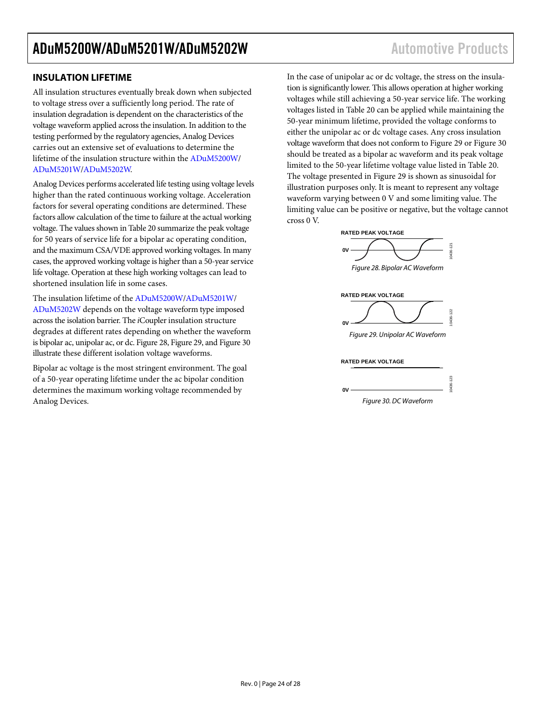### <span id="page-23-0"></span>**INSULATION LIFETIME**

All insulation structures eventually break down when subjected to voltage stress over a sufficiently long period. The rate of insulation degradation is dependent on the characteristics of the voltage waveform applied across the insulation. In addition to the testing performed by the regulatory agencies, Analog Devices carries out an extensive set of evaluations to determine the lifetime of the insulation structure within the [ADuM5200W/](http://www.analog.com/ADuM5200) [ADuM5201W](http://www.analog.com/ADuM5201)[/ADuM5202W.](http://www.analog.com/ADuM5202)

Analog Devices performs accelerated life testing using voltage levels higher than the rated continuous working voltage. Acceleration factors for several operating conditions are determined. These factors allow calculation of the time to failure at the actual working voltage. The values shown i[n Table 20](#page-10-2) summarize the peak voltage for 50 years of service life for a bipolar ac operating condition, and the maximum CSA/VDE approved working voltages. In many cases, the approved working voltage is higher than a 50-year service life voltage. Operation at these high working voltages can lead to shortened insulation life in some cases.

The insulation lifetime of the [ADuM5200W](http://www.analog.com/ADuM5200)[/ADuM5201W/](http://www.analog.com/ADuM5201) [ADuM5202W](http://www.analog.com/ADuM5202) depends on the voltage waveform type imposed across the isolation barrier. The *i*Coupler insulation structure degrades at different rates depending on whether the waveform is bipolar ac, unipolar ac, or dc. [Figure 28,](#page-23-1) [Figure 29,](#page-23-2) and [Figure 30](#page-23-3) illustrate these different isolation voltage waveforms.

Bipolar ac voltage is the most stringent environment. The goal of a 50-year operating lifetime under the ac bipolar condition determines the maximum working voltage recommended by Analog Devices.

In the case of unipolar ac or dc voltage, the stress on the insulation is significantly lower. This allows operation at higher working voltages while still achieving a 50-year service life. The working voltages listed in [Table 20](#page-10-2) can be applied while maintaining the 50-year minimum lifetime, provided the voltage conforms to either the unipolar ac or dc voltage cases. Any cross insulation voltage waveform that does not conform to [Figure 29](#page-23-2) or [Figure 30](#page-23-3) should be treated as a bipolar ac waveform and its peak voltage limited to the 50-year lifetime voltage value listed in [Table 20.](#page-10-2) The voltage presented in [Figure 29](#page-23-2) is shown as sinusoidal for illustration purposes only. It is meant to represent any voltage waveform varying between 0 V and some limiting value. The limiting value can be positive or negative, but the voltage cannot

<span id="page-23-3"></span><span id="page-23-2"></span><span id="page-23-1"></span>cross 0 V.

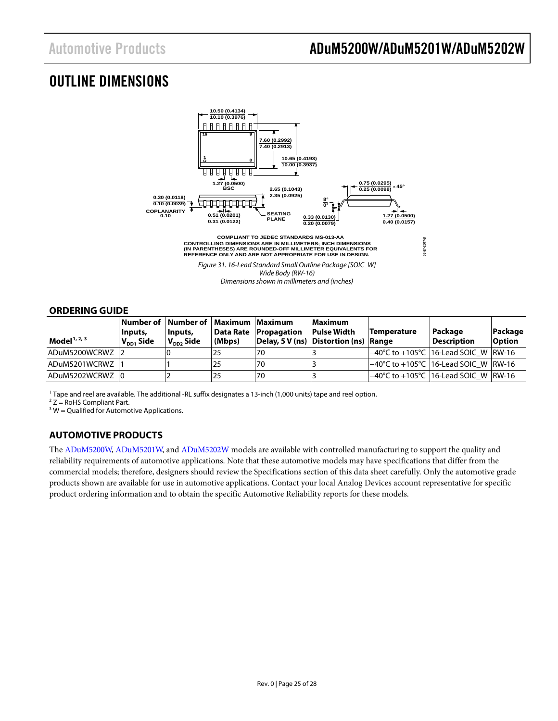## <span id="page-24-1"></span>OUTLINE DIMENSIONS



*Wide Body (RW-16) Dimensions shown in millimeters and (inches)*

### <span id="page-24-0"></span>**ORDERING GUIDE**

| Model <sup>1, 2, 3</sup> | Inputs,<br>$V_{\text{DD1}}$ Side | Number of Number of Maximum Maximum<br>Inputs,<br>$V_{DD}$ , Side | (Mbps) | Data Rate Propagation | Maximum<br><b>Pulse Width</b><br>Delay, 5 V (ns) Distortion (ns) Range | <b>Temperature</b>                                         | Package<br><b>Description</b> | Package<br><b>Option</b> |
|--------------------------|----------------------------------|-------------------------------------------------------------------|--------|-----------------------|------------------------------------------------------------------------|------------------------------------------------------------|-------------------------------|--------------------------|
| ADuM5200WCRWZ 2          |                                  |                                                                   | 25     |                       |                                                                        | $-40^{\circ}$ C to $+105^{\circ}$ C 116-Lead SOIC W IRW-16 |                               |                          |
| ADuM5201WCRWZ            |                                  |                                                                   | 25     |                       |                                                                        | $-40^{\circ}$ C to $+105^{\circ}$ C 116-Lead SOIC W IRW-16 |                               |                          |
| ADuM5202WCRWZ 0          |                                  |                                                                   | 25     | 70                    |                                                                        | l−40°C to +105°C l16-Lead SOIC W lRW-16                    |                               |                          |

<sup>1</sup> Tape and reel are available. The additional -RL suffix designates a 13-inch (1,000 units) tape and reel option.

 $2 Z =$  RoHS Compliant Part.

 $3 W =$  Qualified for Automotive Applications.

### <span id="page-24-2"></span>**AUTOMOTIVE PRODUCTS**

The [ADuM5200W,](http://www.analog.com/ADuM5200) [ADuM5201W,](http://www.analog.com/ADuM5201) and [ADuM5202W](http://www.analog.com/ADuM5202) models are available with controlled manufacturing to support the quality and reliability requirements of automotive applications. Note that these automotive models may have specifications that differ from the commercial models; therefore, designers should review th[e Specifications](#page-2-0) section of this data sheet carefully. Only the automotive grade products shown are available for use in automotive applications. Contact your local Analog Devices account representative for specific product ordering information and to obtain the specific Automotive Reliability reports for these models.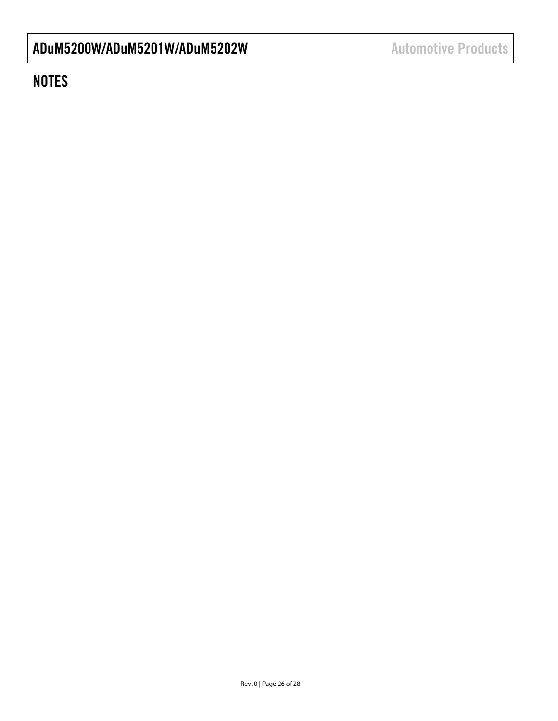## **NOTES**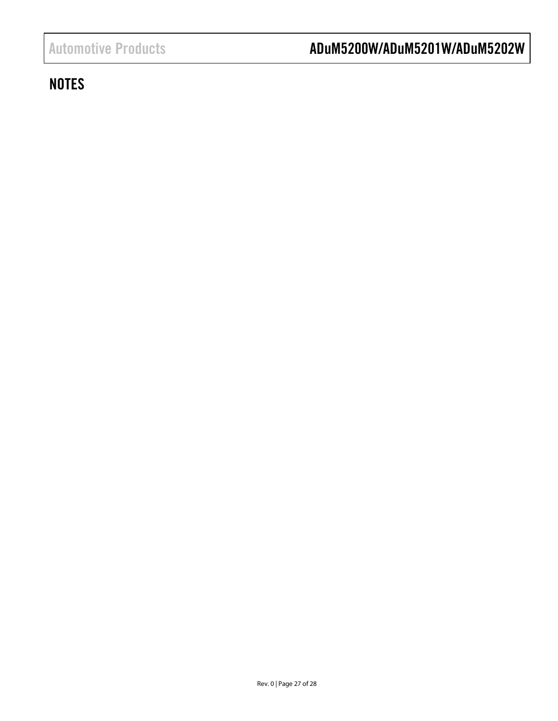## **NOTES**